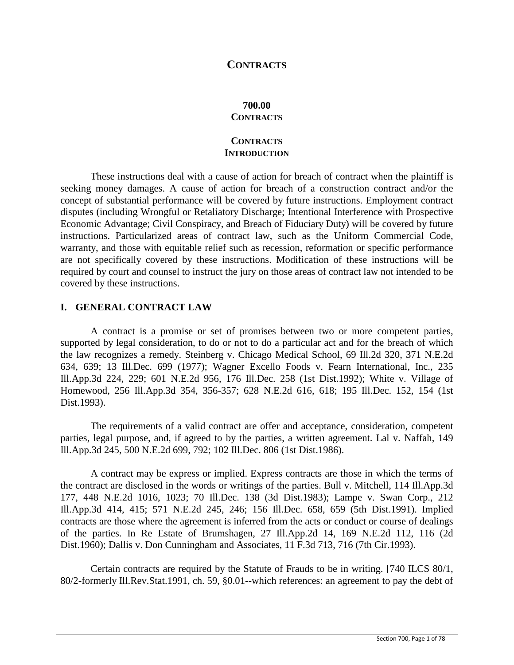# **CONTRACTS**

### **700.00 CONTRACTS**

### **CONTRACTS INTRODUCTION**

These instructions deal with a cause of action for breach of contract when the plaintiff is seeking money damages. A cause of action for breach of a construction contract and/or the concept of substantial performance will be covered by future instructions. Employment contract disputes (including Wrongful or Retaliatory Discharge; Intentional Interference with Prospective Economic Advantage; Civil Conspiracy, and Breach of Fiduciary Duty) will be covered by future instructions. Particularized areas of contract law, such as the Uniform Commercial Code, warranty, and those with equitable relief such as recession, reformation or specific performance are not specifically covered by these instructions. Modification of these instructions will be required by court and counsel to instruct the jury on those areas of contract law not intended to be covered by these instructions.

## **I. GENERAL CONTRACT LAW**

A contract is a promise or set of promises between two or more competent parties, supported by legal consideration, to do or not to do a particular act and for the breach of which the law recognizes a remedy. Steinberg v. Chicago Medical School, 69 Ill.2d 320, 371 N.E.2d 634, 639; 13 Ill.Dec. 699 (1977); Wagner Excello Foods v. Fearn International, Inc., 235 Ill.App.3d 224, 229; 601 N.E.2d 956, 176 Ill.Dec. 258 (1st Dist.1992); White v. Village of Homewood, 256 Ill.App.3d 354, 356-357; 628 N.E.2d 616, 618; 195 Ill.Dec. 152, 154 (1st Dist.1993).

The requirements of a valid contract are offer and acceptance, consideration, competent parties, legal purpose, and, if agreed to by the parties, a written agreement. Lal v. Naffah, 149 Ill.App.3d 245, 500 N.E.2d 699, 792; 102 Ill.Dec. 806 (1st Dist.1986).

A contract may be express or implied. Express contracts are those in which the terms of the contract are disclosed in the words or writings of the parties. Bull v. Mitchell, 114 Ill.App.3d 177, 448 N.E.2d 1016, 1023; 70 Ill.Dec. 138 (3d Dist.1983); Lampe v. Swan Corp., 212 Ill.App.3d 414, 415; 571 N.E.2d 245, 246; 156 Ill.Dec. 658, 659 (5th Dist.1991). Implied contracts are those where the agreement is inferred from the acts or conduct or course of dealings of the parties. In Re Estate of Brumshagen, 27 Ill.App.2d 14, 169 N.E.2d 112, 116 (2d Dist.1960); Dallis v. Don Cunningham and Associates, 11 F.3d 713, 716 (7th Cir.1993).

Certain contracts are required by the Statute of Frauds to be in writing. [740 ILCS 80/1, 80/2-formerly Ill.Rev.Stat.1991, ch. 59, §0.01--which references: an agreement to pay the debt of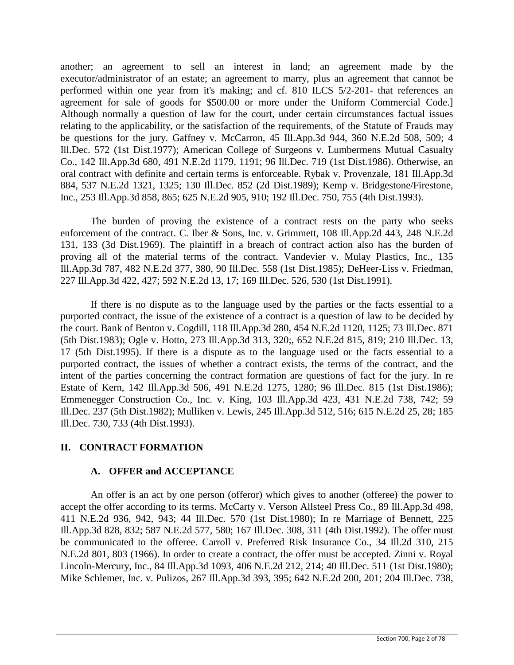another; an agreement to sell an interest in land; an agreement made by the executor/administrator of an estate; an agreement to marry, plus an agreement that cannot be performed within one year from it's making; and cf. 810 ILCS 5/2-201- that references an agreement for sale of goods for \$500.00 or more under the Uniform Commercial Code.] Although normally a question of law for the court, under certain circumstances factual issues relating to the applicability, or the satisfaction of the requirements, of the Statute of Frauds may be questions for the jury. Gaffney v. McCarron, 45 Ill.App.3d 944, 360 N.E.2d 508, 509; 4 Ill.Dec. 572 (1st Dist.1977); American College of Surgeons v. Lumbermens Mutual Casualty Co., 142 Ill.App.3d 680, 491 N.E.2d 1179, 1191; 96 Ill.Dec. 719 (1st Dist.1986). Otherwise, an oral contract with definite and certain terms is enforceable. Rybak v. Provenzale, 181 Ill.App.3d 884, 537 N.E.2d 1321, 1325; 130 Ill.Dec. 852 (2d Dist.1989); Kemp v. Bridgestone/Firestone, Inc., 253 Ill.App.3d 858, 865; 625 N.E.2d 905, 910; 192 Ill.Dec. 750, 755 (4th Dist.1993).

The burden of proving the existence of a contract rests on the party who seeks enforcement of the contract. C. Iber & Sons, Inc. v. Grimmett, 108 Ill.App.2d 443, 248 N.E.2d 131, 133 (3d Dist.1969). The plaintiff in a breach of contract action also has the burden of proving all of the material terms of the contract. Vandevier v. Mulay Plastics, Inc., 135 Ill.App.3d 787, 482 N.E.2d 377, 380, 90 Ill.Dec. 558 (1st Dist.1985); DeHeer-Liss v. Friedman, 227 Ill.App.3d 422, 427; 592 N.E.2d 13, 17; 169 Ill.Dec. 526, 530 (1st Dist.1991).

If there is no dispute as to the language used by the parties or the facts essential to a purported contract, the issue of the existence of a contract is a question of law to be decided by the court. Bank of Benton v. Cogdill, 118 Ill.App.3d 280, 454 N.E.2d 1120, 1125; 73 Ill.Dec. 871 (5th Dist.1983); Ogle v. Hotto, 273 Ill.App.3d 313, 320;, 652 N.E.2d 815, 819; 210 Ill.Dec. 13, 17 (5th Dist.1995). If there is a dispute as to the language used or the facts essential to a purported contract, the issues of whether a contract exists, the terms of the contract, and the intent of the parties concerning the contract formation are questions of fact for the jury. In re Estate of Kern, 142 Ill.App.3d 506, 491 N.E.2d 1275, 1280; 96 Ill.Dec. 815 (1st Dist.1986); Emmenegger Construction Co., Inc. v. King, 103 Ill.App.3d 423, 431 N.E.2d 738, 742; 59 Ill.Dec. 237 (5th Dist.1982); Mulliken v. Lewis, 245 Ill.App.3d 512, 516; 615 N.E.2d 25, 28; 185 Ill.Dec. 730, 733 (4th Dist.1993).

# **II. CONTRACT FORMATION**

# **A. OFFER and ACCEPTANCE**

An offer is an act by one person (offeror) which gives to another (offeree) the power to accept the offer according to its terms. McCarty v. Verson Allsteel Press Co., 89 Ill.App.3d 498, 411 N.E.2d 936, 942, 943; 44 Ill.Dec. 570 (1st Dist.1980); In re Marriage of Bennett, 225 Ill.App.3d 828, 832; 587 N.E.2d 577, 580; 167 Ill.Dec. 308, 311 (4th Dist.1992). The offer must be communicated to the offeree. Carroll v. Preferred Risk Insurance Co., 34 Ill.2d 310, 215 N.E.2d 801, 803 (1966). In order to create a contract, the offer must be accepted. Zinni v. Royal Lincoln-Mercury, Inc., 84 Ill.App.3d 1093, 406 N.E.2d 212, 214; 40 Ill.Dec. 511 (1st Dist.1980); Mike Schlemer, Inc. v. Pulizos, 267 Ill.App.3d 393, 395; 642 N.E.2d 200, 201; 204 Ill.Dec. 738,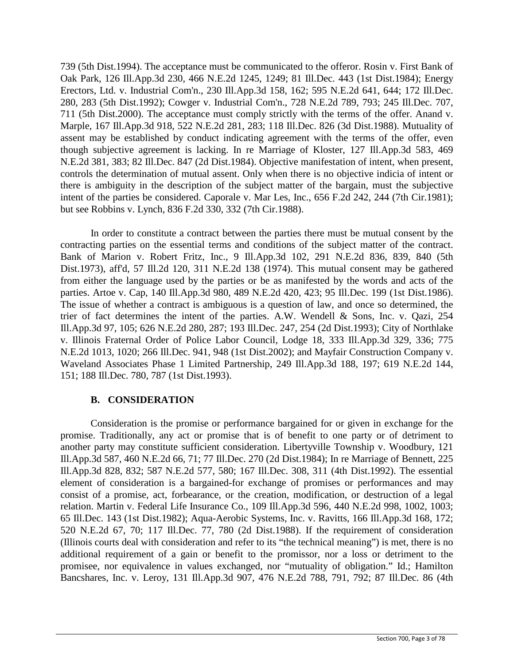739 (5th Dist.1994). The acceptance must be communicated to the offeror. Rosin v. First Bank of Oak Park, 126 Ill.App.3d 230, 466 N.E.2d 1245, 1249; 81 Ill.Dec. 443 (1st Dist.1984); Energy Erectors, Ltd. v. Industrial Com'n., 230 Ill.App.3d 158, 162; 595 N.E.2d 641, 644; 172 Ill.Dec. 280, 283 (5th Dist.1992); Cowger v. Industrial Com'n., 728 N.E.2d 789, 793; 245 Ill.Dec. 707, 711 (5th Dist.2000). The acceptance must comply strictly with the terms of the offer. Anand v. Marple, 167 Ill.App.3d 918, 522 N.E.2d 281, 283; 118 Ill.Dec. 826 (3d Dist.1988). Mutuality of assent may be established by conduct indicating agreement with the terms of the offer, even though subjective agreement is lacking. In re Marriage of Kloster, 127 Ill.App.3d 583, 469 N.E.2d 381, 383; 82 Ill.Dec. 847 (2d Dist.1984). Objective manifestation of intent, when present, controls the determination of mutual assent. Only when there is no objective indicia of intent or there is ambiguity in the description of the subject matter of the bargain, must the subjective intent of the parties be considered. Caporale v. Mar Les, Inc., 656 F.2d 242, 244 (7th Cir.1981); but see Robbins v. Lynch, 836 F.2d 330, 332 (7th Cir.1988).

In order to constitute a contract between the parties there must be mutual consent by the contracting parties on the essential terms and conditions of the subject matter of the contract. Bank of Marion v. Robert Fritz, Inc., 9 Ill.App.3d 102, 291 N.E.2d 836, 839, 840 (5th Dist.1973), aff'd, 57 Ill.2d 120, 311 N.E.2d 138 (1974). This mutual consent may be gathered from either the language used by the parties or be as manifested by the words and acts of the parties. Artoe v. Cap, 140 Ill.App.3d 980, 489 N.E.2d 420, 423; 95 Ill.Dec. 199 (1st Dist.1986). The issue of whether a contract is ambiguous is a question of law, and once so determined, the trier of fact determines the intent of the parties. A.W. Wendell & Sons, Inc. v. Qazi, 254 Ill.App.3d 97, 105; 626 N.E.2d 280, 287; 193 Ill.Dec. 247, 254 (2d Dist.1993); City of Northlake v. Illinois Fraternal Order of Police Labor Council, Lodge 18, 333 Ill.App.3d 329, 336; 775 N.E.2d 1013, 1020; 266 Ill.Dec. 941, 948 (1st Dist.2002); and Mayfair Construction Company v. Waveland Associates Phase 1 Limited Partnership, 249 Ill.App.3d 188, 197; 619 N.E.2d 144, 151; 188 Ill.Dec. 780, 787 (1st Dist.1993).

# **B. CONSIDERATION**

Consideration is the promise or performance bargained for or given in exchange for the promise. Traditionally, any act or promise that is of benefit to one party or of detriment to another party may constitute sufficient consideration. Libertyville Township v. Woodbury, 121 Ill.App.3d 587, 460 N.E.2d 66, 71; 77 Ill.Dec. 270 (2d Dist.1984); In re Marriage of Bennett, 225 Ill.App.3d 828, 832; 587 N.E.2d 577, 580; 167 Ill.Dec. 308, 311 (4th Dist.1992). The essential element of consideration is a bargained-for exchange of promises or performances and may consist of a promise, act, forbearance, or the creation, modification, or destruction of a legal relation. Martin v. Federal Life Insurance Co., 109 Ill.App.3d 596, 440 N.E.2d 998, 1002, 1003; 65 Ill.Dec. 143 (1st Dist.1982); Aqua-Aerobic Systems, Inc. v. Ravitts, 166 Ill.App.3d 168, 172; 520 N.E.2d 67, 70; 117 Ill.Dec. 77, 780 (2d Dist.1988). If the requirement of consideration (Illinois courts deal with consideration and refer to its "the technical meaning") is met, there is no additional requirement of a gain or benefit to the promissor, nor a loss or detriment to the promisee, nor equivalence in values exchanged, nor "mutuality of obligation." Id.; Hamilton Bancshares, Inc. v. Leroy, 131 Ill.App.3d 907, 476 N.E.2d 788, 791, 792; 87 Ill.Dec. 86 (4th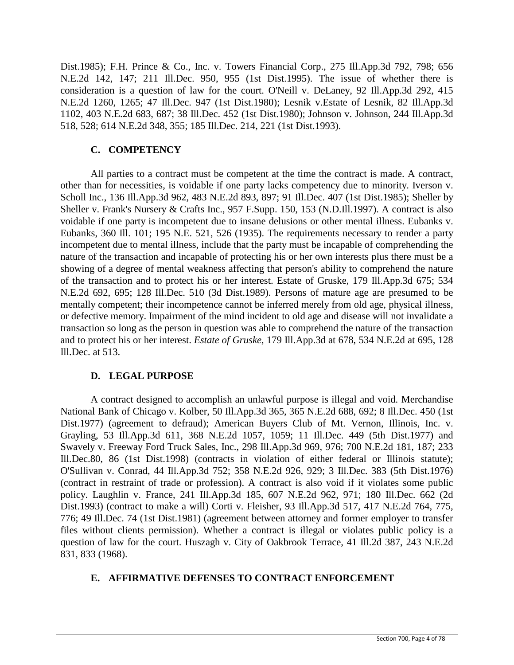Dist.1985); F.H. Prince & Co., Inc. v. Towers Financial Corp., 275 Ill.App.3d 792, 798; 656 N.E.2d 142, 147; 211 Ill.Dec. 950, 955 (1st Dist.1995). The issue of whether there is consideration is a question of law for the court. O'Neill v. DeLaney, 92 Ill.App.3d 292, 415 N.E.2d 1260, 1265; 47 Ill.Dec. 947 (1st Dist.1980); Lesnik v.Estate of Lesnik, 82 Ill.App.3d 1102, 403 N.E.2d 683, 687; 38 Ill.Dec. 452 (1st Dist.1980); Johnson v. Johnson, 244 Ill.App.3d 518, 528; 614 N.E.2d 348, 355; 185 Ill.Dec. 214, 221 (1st Dist.1993).

# **C. COMPETENCY**

All parties to a contract must be competent at the time the contract is made. A contract, other than for necessities, is voidable if one party lacks competency due to minority. Iverson v. Scholl Inc., 136 Ill.App.3d 962, 483 N.E.2d 893, 897; 91 Ill.Dec. 407 (1st Dist.1985); Sheller by Sheller v. Frank's Nursery & Crafts Inc., 957 F.Supp. 150, 153 (N.D.Ill.1997). A contract is also voidable if one party is incompetent due to insane delusions or other mental illness. Eubanks v. Eubanks, 360 Ill. 101; 195 N.E. 521, 526 (1935). The requirements necessary to render a party incompetent due to mental illness, include that the party must be incapable of comprehending the nature of the transaction and incapable of protecting his or her own interests plus there must be a showing of a degree of mental weakness affecting that person's ability to comprehend the nature of the transaction and to protect his or her interest. Estate of Gruske, 179 Ill.App.3d 675; 534 N.E.2d 692, 695; 128 Ill.Dec. 510 (3d Dist.1989). Persons of mature age are presumed to be mentally competent; their incompetence cannot be inferred merely from old age, physical illness, or defective memory. Impairment of the mind incident to old age and disease will not invalidate a transaction so long as the person in question was able to comprehend the nature of the transaction and to protect his or her interest. *Estate of Gruske*, 179 Ill.App.3d at 678, 534 N.E.2d at 695, 128 Ill.Dec. at 513.

# **D. LEGAL PURPOSE**

A contract designed to accomplish an unlawful purpose is illegal and void. Merchandise National Bank of Chicago v. Kolber, 50 Ill.App.3d 365, 365 N.E.2d 688, 692; 8 Ill.Dec. 450 (1st Dist.1977) (agreement to defraud); American Buyers Club of Mt. Vernon, Illinois, Inc. v. Grayling, 53 Ill.App.3d 611, 368 N.E.2d 1057, 1059; 11 Ill.Dec. 449 (5th Dist.1977) and Swavely v. Freeway Ford Truck Sales, Inc., 298 Ill.App.3d 969, 976; 700 N.E.2d 181, 187; 233 Ill.Dec.80, 86 (1st Dist.1998) (contracts in violation of either federal or Illinois statute); O'Sullivan v. Conrad, 44 Ill.App.3d 752; 358 N.E.2d 926, 929; 3 Ill.Dec. 383 (5th Dist.1976) (contract in restraint of trade or profession). A contract is also void if it violates some public policy. Laughlin v. France, 241 Ill.App.3d 185, 607 N.E.2d 962, 971; 180 Ill.Dec. 662 (2d Dist.1993) (contract to make a will) Corti v. Fleisher, 93 Ill.App.3d 517, 417 N.E.2d 764, 775, 776; 49 Ill.Dec. 74 (1st Dist.1981) (agreement between attorney and former employer to transfer files without clients permission). Whether a contract is illegal or violates public policy is a question of law for the court. Huszagh v. City of Oakbrook Terrace, 41 Ill.2d 387, 243 N.E.2d 831, 833 (1968).

# **E. AFFIRMATIVE DEFENSES TO CONTRACT ENFORCEMENT**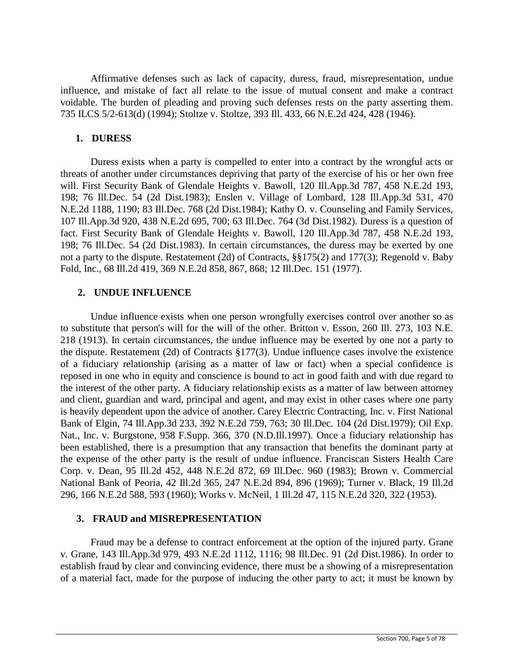Affirmative defenses such as lack of capacity, duress, fraud, misrepresentation, undue influence, and mistake of fact all relate to the issue of mutual consent and make a contract voidable. The burden of pleading and proving such defenses rests on the party asserting them. 735 ILCS 5/2-613(d) (1994); Stoltze v. Stoltze, 393 Ill. 433, 66 N.E.2d 424, 428 (1946).

## **1. DURESS**

Duress exists when a party is compelled to enter into a contract by the wrongful acts or threats of another under circumstances depriving that party of the exercise of his or her own free will. First Security Bank of Glendale Heights v. Bawoll, 120 Ill.App.3d 787, 458 N.E.2d 193, 198; 76 Ill.Dec. 54 (2d Dist.1983); Enslen v. Village of Lombard, 128 Ill.App.3d 531, 470 N.E.2d 1188, 1190; 83 Ill.Dec. 768 (2d Dist.1984); Kathy O. v. Counseling and Family Services, 107 Ill.App.3d 920, 438 N.E.2d 695, 700; 63 Ill.Dec. 764 (3d Dist.1982). Duress is a question of fact. First Security Bank of Glendale Heights v. Bawoll, 120 Ill.App.3d 787, 458 N.E.2d 193, 198; 76 Ill.Dec. 54 (2d Dist.1983). In certain circumstances, the duress may be exerted by one not a party to the dispute. Restatement (2d) of Contracts, §§175(2) and 177(3); Regenold v. Baby Fold, Inc., 68 Ill.2d 419, 369 N.E.2d 858, 867, 868; 12 Ill.Dec. 151 (1977).

# **2. UNDUE INFLUENCE**

Undue influence exists when one person wrongfully exercises control over another so as to substitute that person's will for the will of the other. Britton v. Esson, 260 Ill. 273, 103 N.E. 218 (1913). In certain circumstances, the undue influence may be exerted by one not a party to the dispute. Restatement (2d) of Contracts §177(3). Undue influence cases involve the existence of a fiduciary relationship (arising as a matter of law or fact) when a special confidence is reposed in one who in equity and conscience is bound to act in good faith and with due regard to the interest of the other party. A fiduciary relationship exists as a matter of law between attorney and client, guardian and ward, principal and agent, and may exist in other cases where one party is heavily dependent upon the advice of another. Carey Electric Contracting, Inc. v. First National Bank of Elgin, 74 Ill.App.3d 233, 392 N.E.2d 759, 763; 30 Ill.Dec. 104 (2d Dist.1979); Oil Exp. Nat., Inc. v. Burgstone, 958 F.Supp. 366, 370 (N.D.Ill.1997). Once a fiduciary relationship has been established, there is a presumption that any transaction that benefits the dominant party at the expense of the other party is the result of undue influence. Franciscan Sisters Health Care Corp. v. Dean, 95 Ill.2d 452, 448 N.E.2d 872, 69 Ill.Dec. 960 (1983); Brown v. Commercial National Bank of Peoria, 42 Ill.2d 365, 247 N.E.2d 894, 896 (1969); Turner v. Black, 19 Ill.2d 296, 166 N.E.2d 588, 593 (1960); Works v. McNeil, 1 Ill.2d 47, 115 N.E.2d 320, 322 (1953).

# **3. FRAUD and MISREPRESENTATION**

Fraud may be a defense to contract enforcement at the option of the injured party. Grane v. Grane, 143 Ill.App.3d 979, 493 N.E.2d 1112, 1116; 98 Ill.Dec. 91 (2d Dist.1986). In order to establish fraud by clear and convincing evidence, there must be a showing of a misrepresentation of a material fact, made for the purpose of inducing the other party to act; it must be known by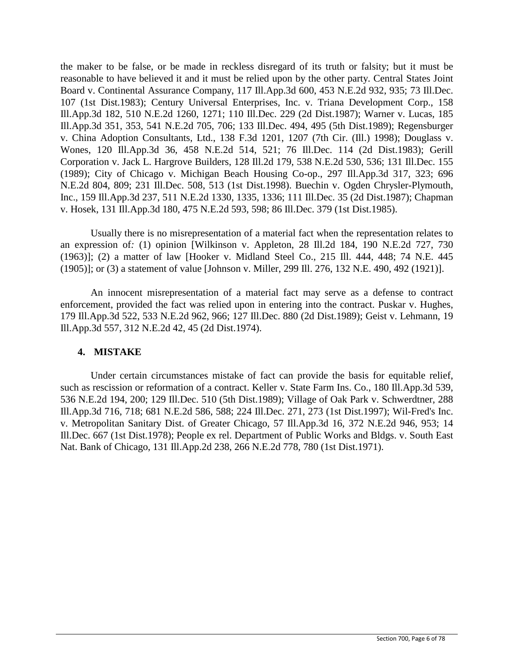the maker to be false, or be made in reckless disregard of its truth or falsity; but it must be reasonable to have believed it and it must be relied upon by the other party. Central States Joint Board v. Continental Assurance Company, 117 Ill.App.3d 600, 453 N.E.2d 932, 935; 73 Ill.Dec. 107 (1st Dist.1983); Century Universal Enterprises, Inc. v. Triana Development Corp., 158 Ill.App.3d 182, 510 N.E.2d 1260, 1271; 110 Ill.Dec. 229 (2d Dist.1987); Warner v. Lucas, 185 Ill.App.3d 351, 353, 541 N.E.2d 705, 706; 133 Ill.Dec. 494, 495 (5th Dist.1989); Regensburger v. China Adoption Consultants, Ltd., 138 F.3d 1201, 1207 (7th Cir. (Ill.) 1998); Douglass v. Wones, 120 Ill.App.3d 36, 458 N.E.2d 514, 521; 76 Ill.Dec. 114 (2d Dist.1983); Gerill Corporation v. Jack L. Hargrove Builders, 128 Ill.2d 179, 538 N.E.2d 530, 536; 131 Ill.Dec. 155 (1989); City of Chicago v. Michigan Beach Housing Co-op., 297 Ill.App.3d 317, 323; 696 N.E.2d 804, 809; 231 Ill.Dec. 508, 513 (1st Dist.1998). Buechin v. Ogden Chrysler-Plymouth, Inc., 159 Ill.App.3d 237, 511 N.E.2d 1330, 1335, 1336; 111 Ill.Dec. 35 (2d Dist.1987); Chapman v. Hosek, 131 Ill.App.3d 180, 475 N.E.2d 593, 598; 86 Ill.Dec. 379 (1st Dist.1985).

Usually there is no misrepresentation of a material fact when the representation relates to an expression of*:* (1) opinion [Wilkinson v. Appleton, 28 Ill.2d 184, 190 N.E.2d 727, 730 (1963)]; (2) a matter of law [Hooker v. Midland Steel Co., 215 Ill. 444, 448; 74 N.E. 445 (1905)]; or (3) a statement of value [Johnson v. Miller, 299 Ill. 276, 132 N.E. 490, 492 (1921)].

An innocent misrepresentation of a material fact may serve as a defense to contract enforcement, provided the fact was relied upon in entering into the contract. Puskar v. Hughes, 179 Ill.App.3d 522, 533 N.E.2d 962, 966; 127 Ill.Dec. 880 (2d Dist.1989); Geist v. Lehmann, 19 Ill.App.3d 557, 312 N.E.2d 42, 45 (2d Dist.1974).

## **4. MISTAKE**

Under certain circumstances mistake of fact can provide the basis for equitable relief, such as rescission or reformation of a contract. Keller v. State Farm Ins. Co., 180 Ill.App.3d 539, 536 N.E.2d 194, 200; 129 Ill.Dec. 510 (5th Dist.1989); Village of Oak Park v. Schwerdtner, 288 Ill.App.3d 716, 718; 681 N.E.2d 586, 588; 224 Ill.Dec. 271, 273 (1st Dist.1997); Wil-Fred's Inc. v. Metropolitan Sanitary Dist. of Greater Chicago, 57 Ill.App.3d 16, 372 N.E.2d 946, 953; 14 Ill.Dec. 667 (1st Dist.1978); People ex rel. Department of Public Works and Bldgs. v. South East Nat. Bank of Chicago, 131 Ill.App.2d 238, 266 N.E.2d 778, 780 (1st Dist.1971).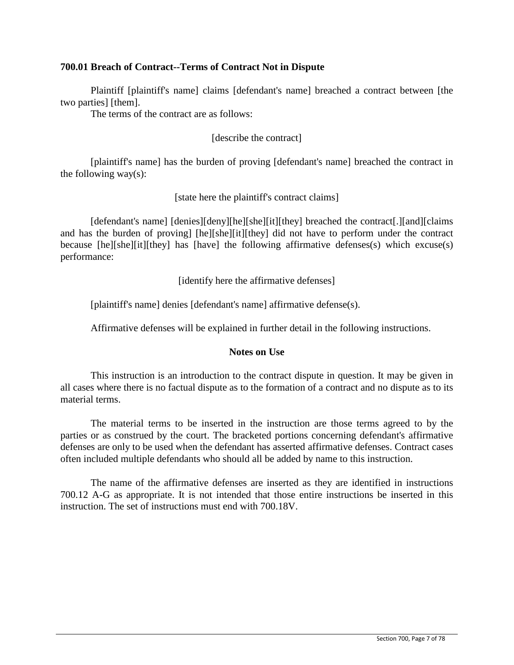## **700.01 Breach of Contract--Terms of Contract Not in Dispute**

Plaintiff [plaintiff's name] claims [defendant's name] breached a contract between [the two parties] [them].

The terms of the contract are as follows:

## [describe the contract]

[plaintiff's name] has the burden of proving [defendant's name] breached the contract in the following way(s):

### [state here the plaintiff's contract claims]

[defendant's name] [denies][deny][he][she][it][they] breached the contract[.][and][claims] and has the burden of proving] [he][she][it][they] did not have to perform under the contract because [he][she][it][they] has [have] the following affirmative defenses(s) which excuse(s) performance:

[identify here the affirmative defenses]

[plaintiff's name] denies [defendant's name] affirmative defense(s).

Affirmative defenses will be explained in further detail in the following instructions.

## **Notes on Use**

This instruction is an introduction to the contract dispute in question. It may be given in all cases where there is no factual dispute as to the formation of a contract and no dispute as to its material terms.

The material terms to be inserted in the instruction are those terms agreed to by the parties or as construed by the court. The bracketed portions concerning defendant's affirmative defenses are only to be used when the defendant has asserted affirmative defenses. Contract cases often included multiple defendants who should all be added by name to this instruction.

The name of the affirmative defenses are inserted as they are identified in instructions 700.12 A-G as appropriate. It is not intended that those entire instructions be inserted in this instruction. The set of instructions must end with 700.18V.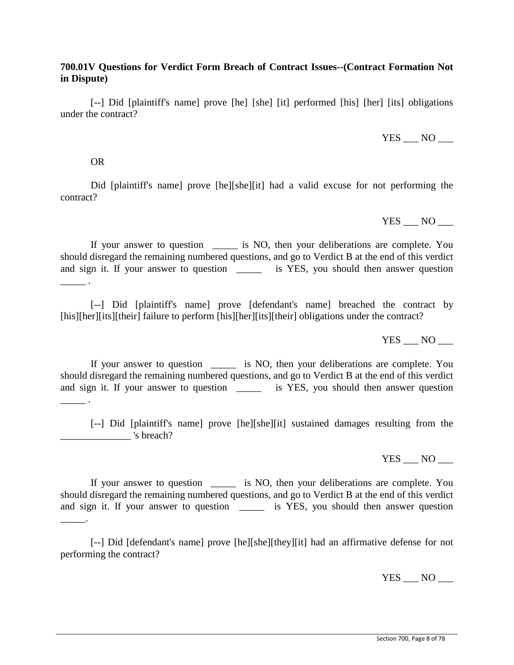# **700.01V Questions for Verdict Form Breach of Contract Issues--(Contract Formation Not in Dispute)**

[--] Did [plaintiff's name] prove [he] [she] [it] performed [his] [her] [its] obligations under the contract?

 $YES \_\ldots NO \_\ldots$ 

### OR

 $\mathcal{L}$ 

Did [plaintiff's name] prove [he][she][it] had a valid excuse for not performing the contract?

YES NO

If your answer to question \_\_\_\_\_\_ is NO, then your deliberations are complete. You should disregard the remaining numbered questions, and go to Verdict B at the end of this verdict and sign it. If your answer to question is YES, you should then answer question

[--] Did [plaintiff's name] prove [defendant's name] breached the contract by [his][her][its][their] failure to perform [his][her][its][their] obligations under the contract?

 $YES$  NO  $\_\_$ 

If your answer to question \_\_\_\_\_ is NO, then your deliberations are complete. You should disregard the remaining numbered questions, and go to Verdict B at the end of this verdict and sign it. If your answer to question \_\_\_\_\_\_ is YES, you should then answer question  $\overline{\phantom{a}}$  .

[--] Did [plaintiff's name] prove [he][she][it] sustained damages resulting from the \_\_\_\_\_\_\_\_\_\_\_\_\_\_ 's breach?

YES NO

If your answer to question \_\_\_\_\_ is NO, then your deliberations are complete. You should disregard the remaining numbered questions, and go to Verdict B at the end of this verdict and sign it. If your answer to question \_\_\_\_\_\_\_ is YES, you should then answer question  $\overline{\phantom{a}}$ .

[--] Did [defendant's name] prove [he][she][they][it] had an affirmative defense for not performing the contract?

YES NO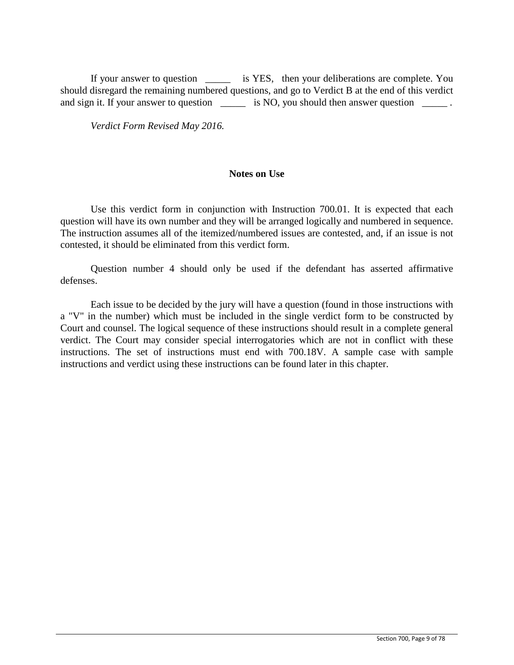If your answer to question \_\_\_\_\_ is YES, then your deliberations are complete. You should disregard the remaining numbered questions, and go to Verdict B at the end of this verdict and sign it. If your answer to question \_\_\_\_\_\_\_ is NO, you should then answer question \_\_\_\_\_\_.

*Verdict Form Revised May 2016.*

### **Notes on Use**

Use this verdict form in conjunction with Instruction 700.01. It is expected that each question will have its own number and they will be arranged logically and numbered in sequence. The instruction assumes all of the itemized/numbered issues are contested, and, if an issue is not contested, it should be eliminated from this verdict form.

Question number 4 should only be used if the defendant has asserted affirmative defenses.

Each issue to be decided by the jury will have a question (found in those instructions with a "V" in the number) which must be included in the single verdict form to be constructed by Court and counsel. The logical sequence of these instructions should result in a complete general verdict. The Court may consider special interrogatories which are not in conflict with these instructions. The set of instructions must end with 700.18V. A sample case with sample instructions and verdict using these instructions can be found later in this chapter.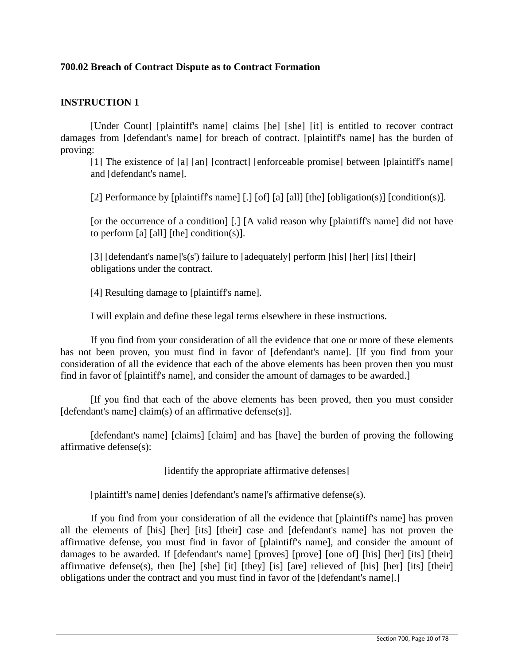# **700.02 Breach of Contract Dispute as to Contract Formation**

## **INSTRUCTION 1**

[Under Count] [plaintiff's name] claims [he] [she] [it] is entitled to recover contract damages from [defendant's name] for breach of contract. [plaintiff's name] has the burden of proving:

[1] The existence of [a] [an] [contract] [enforceable promise] between [plaintiff's name] and [defendant's name].

[2] Performance by [plaintiff's name] [.] [of] [a] [all] [the] [obligation(s)] [condition(s)].

[or the occurrence of a condition] [.] [A valid reason why [plaintiff's name] did not have to perform [a] [all] [the] condition(s)].

[3] [defendant's name]'s(s') failure to [adequately] perform [his] [her] [its] [their] obligations under the contract.

[4] Resulting damage to [plaintiff's name].

I will explain and define these legal terms elsewhere in these instructions.

If you find from your consideration of all the evidence that one or more of these elements has not been proven, you must find in favor of [defendant's name]. [If you find from your consideration of all the evidence that each of the above elements has been proven then you must find in favor of [plaintiff's name], and consider the amount of damages to be awarded.]

[If you find that each of the above elements has been proved, then you must consider [defendant's name] claim(s) of an affirmative defense(s)].

[defendant's name] [claims] [claim] and has [have] the burden of proving the following affirmative defense(s):

[identify the appropriate affirmative defenses]

[plaintiff's name] denies [defendant's name]'s affirmative defense(s).

If you find from your consideration of all the evidence that [plaintiff's name] has proven all the elements of [his] [her] [its] [their] case and [defendant's name] has not proven the affirmative defense, you must find in favor of [plaintiff's name], and consider the amount of damages to be awarded. If [defendant's name] [proves] [prove] [one of] [his] [her] [its] [their] affirmative defense(s), then [he] [she] [it] [they] [is] [are] relieved of [his] [her] [its] [their] obligations under the contract and you must find in favor of the [defendant's name].]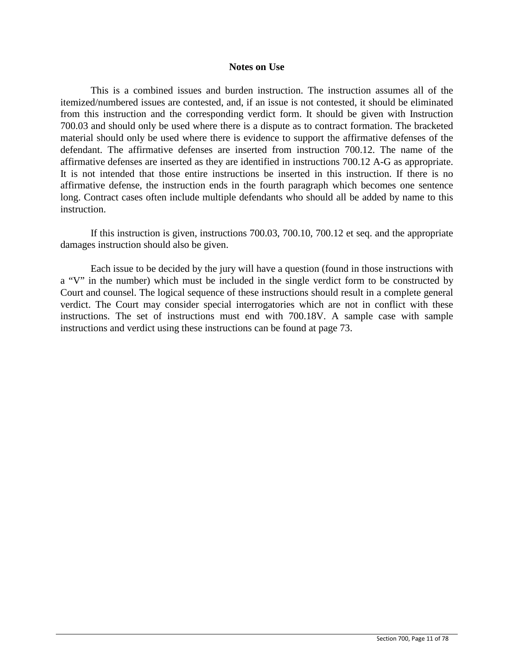#### **Notes on Use**

This is a combined issues and burden instruction. The instruction assumes all of the itemized/numbered issues are contested, and, if an issue is not contested, it should be eliminated from this instruction and the corresponding verdict form. It should be given with Instruction 700.03 and should only be used where there is a dispute as to contract formation. The bracketed material should only be used where there is evidence to support the affirmative defenses of the defendant. The affirmative defenses are inserted from instruction 700.12. The name of the affirmative defenses are inserted as they are identified in instructions 700.12 A-G as appropriate. It is not intended that those entire instructions be inserted in this instruction. If there is no affirmative defense, the instruction ends in the fourth paragraph which becomes one sentence long. Contract cases often include multiple defendants who should all be added by name to this instruction.

If this instruction is given, instructions 700.03, 700.10, 700.12 et seq. and the appropriate damages instruction should also be given.

Each issue to be decided by the jury will have a question (found in those instructions with a "V" in the number) which must be included in the single verdict form to be constructed by Court and counsel. The logical sequence of these instructions should result in a complete general verdict. The Court may consider special interrogatories which are not in conflict with these instructions. The set of instructions must end with 700.18V. A sample case with sample instructions and verdict using these instructions can be found at page 73.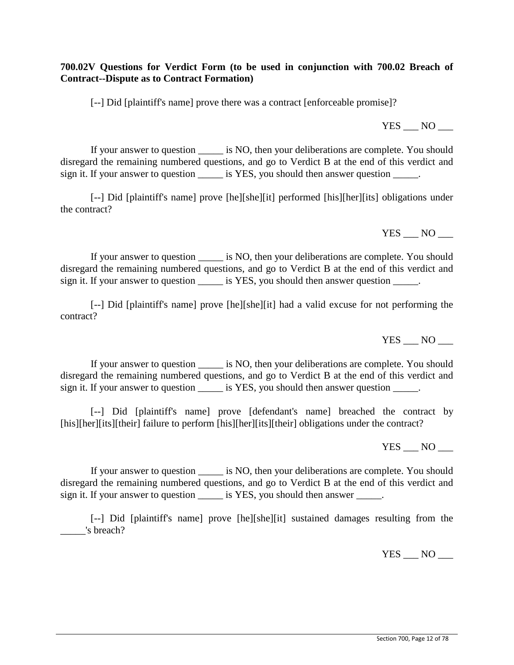**700.02V Questions for Verdict Form (to be used in conjunction with 700.02 Breach of Contract--Dispute as to Contract Formation)** 

[--] Did [plaintiff's name] prove there was a contract [enforceable promise]?

If your answer to question is NO, then your deliberations are complete. You should disregard the remaining numbered questions, and go to Verdict B at the end of this verdict and sign it. If your answer to question \_\_\_\_\_\_ is YES, you should then answer question \_\_\_\_\_.

[--] Did [plaintiff's name] prove [he][she][it] performed [his][her][its] obligations under the contract?

If your answer to question \_\_\_\_\_ is NO, then your deliberations are complete. You should disregard the remaining numbered questions, and go to Verdict B at the end of this verdict and sign it. If your answer to question \_\_\_\_\_\_ is YES, you should then answer question \_\_\_\_\_.

[--] Did [plaintiff's name] prove [he][she][it] had a valid excuse for not performing the contract?

 $YES$  NO  $\_\_$ 

If your answer to question \_\_\_\_\_ is NO, then your deliberations are complete. You should disregard the remaining numbered questions, and go to Verdict B at the end of this verdict and sign it. If your answer to question \_\_\_\_\_\_ is YES, you should then answer question \_\_\_\_\_.

[--] Did [plaintiff's name] prove [defendant's name] breached the contract by [his][her][its][their] failure to perform [his][her][its][their] obligations under the contract?

YES NO

If your answer to question \_\_\_\_\_ is NO, then your deliberations are complete. You should disregard the remaining numbered questions, and go to Verdict B at the end of this verdict and sign it. If your answer to question \_\_\_\_\_\_ is YES, you should then answer \_\_\_\_\_.

[--] Did [plaintiff's name] prove [he][she][it] sustained damages resulting from the \_\_\_\_\_'s breach?

 $YES$  NO  $\_\_$ 

YES NO

YES NO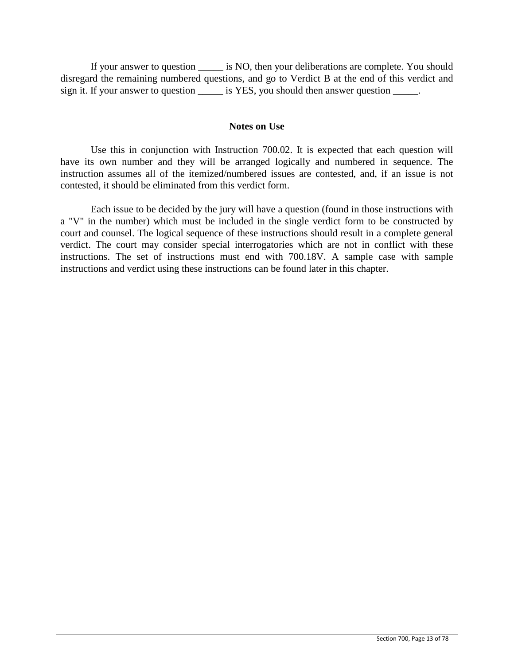If your answer to question \_\_\_\_\_ is NO, then your deliberations are complete. You should disregard the remaining numbered questions, and go to Verdict B at the end of this verdict and sign it. If your answer to question \_\_\_\_\_\_ is YES, you should then answer question \_\_\_\_\_.

### **Notes on Use**

Use this in conjunction with Instruction 700.02. It is expected that each question will have its own number and they will be arranged logically and numbered in sequence. The instruction assumes all of the itemized/numbered issues are contested, and, if an issue is not contested, it should be eliminated from this verdict form.

Each issue to be decided by the jury will have a question (found in those instructions with a "V" in the number) which must be included in the single verdict form to be constructed by court and counsel. The logical sequence of these instructions should result in a complete general verdict. The court may consider special interrogatories which are not in conflict with these instructions. The set of instructions must end with 700.18V. A sample case with sample instructions and verdict using these instructions can be found later in this chapter.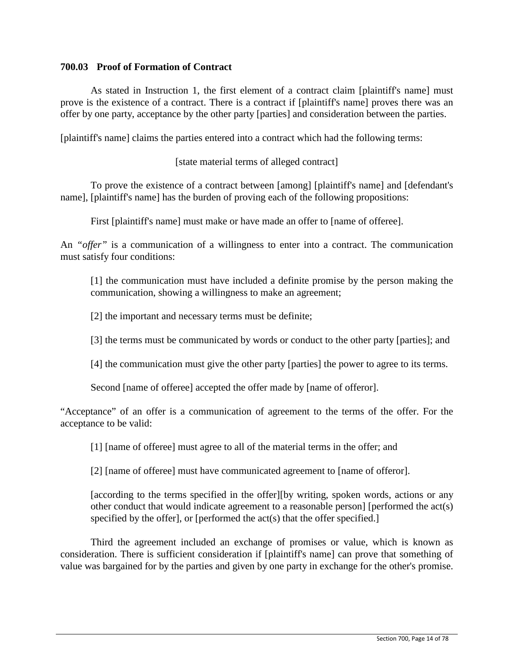# **700.03 Proof of Formation of Contract**

As stated in Instruction 1, the first element of a contract claim [plaintiff's name] must prove is the existence of a contract. There is a contract if [plaintiff's name] proves there was an offer by one party, acceptance by the other party [parties] and consideration between the parties.

[plaintiff's name] claims the parties entered into a contract which had the following terms:

[state material terms of alleged contract]

To prove the existence of a contract between [among] [plaintiff's name] and [defendant's name], [plaintiff's name] has the burden of proving each of the following propositions:

First [plaintiff's name] must make or have made an offer to [name of offeree].

An *"offer"* is a communication of a willingness to enter into a contract. The communication must satisfy four conditions:

[1] the communication must have included a definite promise by the person making the communication, showing a willingness to make an agreement;

[2] the important and necessary terms must be definite;

[3] the terms must be communicated by words or conduct to the other party [parties]; and

[4] the communication must give the other party [parties] the power to agree to its terms.

Second [name of offeree] accepted the offer made by [name of offeror].

"Acceptance" of an offer is a communication of agreement to the terms of the offer. For the acceptance to be valid:

[1] [name of offeree] must agree to all of the material terms in the offer; and

[2] [name of offeree] must have communicated agreement to [name of offeror].

[according to the terms specified in the offer][by writing, spoken words, actions or any other conduct that would indicate agreement to a reasonable person] [performed the act(s) specified by the offer], or [performed the act(s) that the offer specified.]

Third the agreement included an exchange of promises or value, which is known as consideration. There is sufficient consideration if [plaintiff's name] can prove that something of value was bargained for by the parties and given by one party in exchange for the other's promise.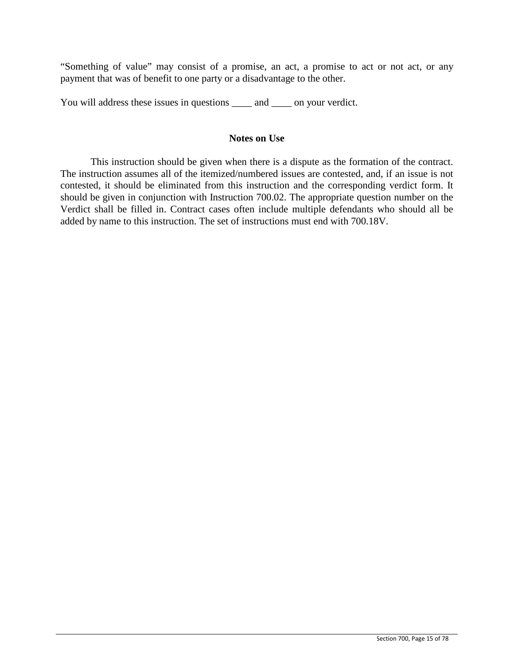"Something of value" may consist of a promise, an act, a promise to act or not act, or any payment that was of benefit to one party or a disadvantage to the other.

You will address these issues in questions  $\_\_\_\_$  and  $\_\_\_$  on your verdict.

### **Notes on Use**

This instruction should be given when there is a dispute as the formation of the contract. The instruction assumes all of the itemized/numbered issues are contested, and, if an issue is not contested, it should be eliminated from this instruction and the corresponding verdict form. It should be given in conjunction with Instruction 700.02. The appropriate question number on the Verdict shall be filled in. Contract cases often include multiple defendants who should all be added by name to this instruction. The set of instructions must end with 700.18V.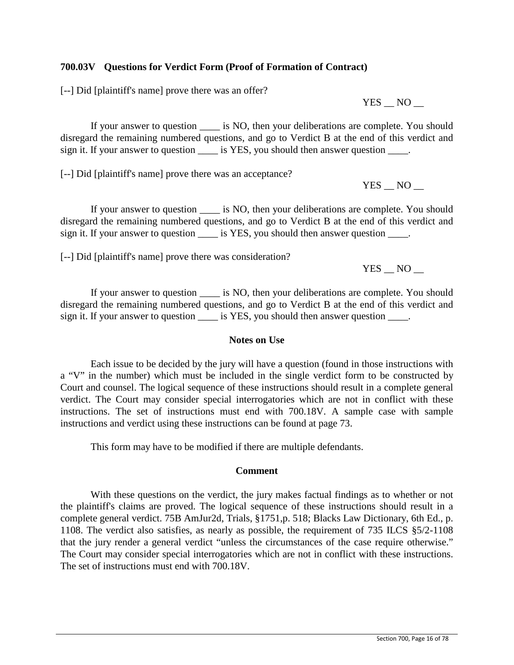## **700.03V Questions for Verdict Form (Proof of Formation of Contract)**

[--] Did [plaintiff's name] prove there was an offer?

 $YES$   $NO$   $-$ 

If your answer to question is NO, then your deliberations are complete. You should disregard the remaining numbered questions, and go to Verdict B at the end of this verdict and sign it. If your answer to question is YES, you should then answer question  $\blacksquare$ .

[--] Did [plaintiff's name] prove there was an acceptance?

YES NO

If your answer to question  $\qquad$  is NO, then your deliberations are complete. You should disregard the remaining numbered questions, and go to Verdict B at the end of this verdict and sign it. If your answer to question \_\_\_\_\_ is YES, you should then answer question \_\_\_\_\_.

[--] Did [plaintiff's name] prove there was consideration?

YES NO

If your answer to question  $\_\_$  is NO, then your deliberations are complete. You should disregard the remaining numbered questions, and go to Verdict B at the end of this verdict and sign it. If your answer to question \_\_\_\_\_ is YES, you should then answer question \_\_\_\_.

## **Notes on Use**

Each issue to be decided by the jury will have a question (found in those instructions with a "V" in the number) which must be included in the single verdict form to be constructed by Court and counsel. The logical sequence of these instructions should result in a complete general verdict. The Court may consider special interrogatories which are not in conflict with these instructions. The set of instructions must end with 700.18V. A sample case with sample instructions and verdict using these instructions can be found at page 73.

This form may have to be modified if there are multiple defendants.

## **Comment**

With these questions on the verdict, the jury makes factual findings as to whether or not the plaintiff's claims are proved. The logical sequence of these instructions should result in a complete general verdict. 75B AmJur2d, Trials, §1751,p. 518; Blacks Law Dictionary, 6th Ed., p. 1108. The verdict also satisfies, as nearly as possible, the requirement of 735 ILCS §5/2-1108 that the jury render a general verdict "unless the circumstances of the case require otherwise." The Court may consider special interrogatories which are not in conflict with these instructions. The set of instructions must end with 700.18V.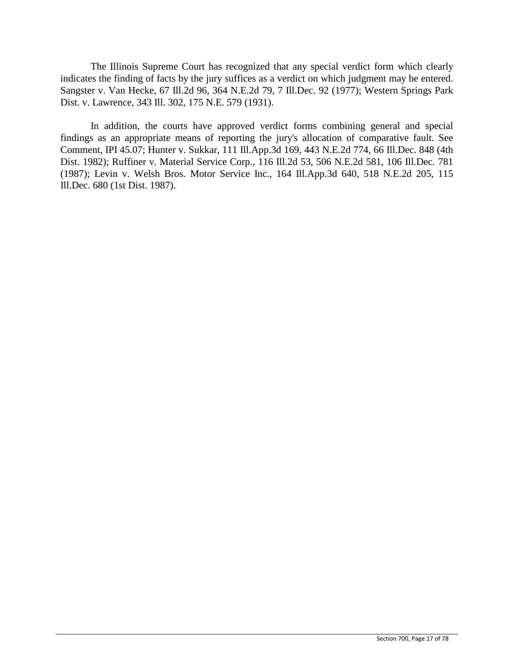The Illinois Supreme Court has recognized that any special verdict form which clearly indicates the finding of facts by the jury suffices as a verdict on which judgment may be entered. Sangster v. Van Hecke, 67 Ill.2d 96, 364 N.E.2d 79, 7 Ill.Dec. 92 (1977); Western Springs Park Dist. v. Lawrence, 343 Ill. 302, 175 N.E. 579 (1931).

In addition, the courts have approved verdict forms combining general and special findings as an appropriate means of reporting the jury's allocation of comparative fault. See Comment, IPI 45.07; Hunter v. Sukkar, 111 Ill.App.3d 169, 443 N.E.2d 774, 66 Ill.Dec. 848 (4th Dist. 1982); Ruffiner v. Material Service Corp., 116 Ill.2d 53, 506 N.E.2d 581, 106 Ill.Dec. 781 (1987); Levin v. Welsh Bros. Motor Service Inc., 164 Ill.App.3d 640, 518 N.E.2d 205, 115 Ill.Dec. 680 (1st Dist. 1987).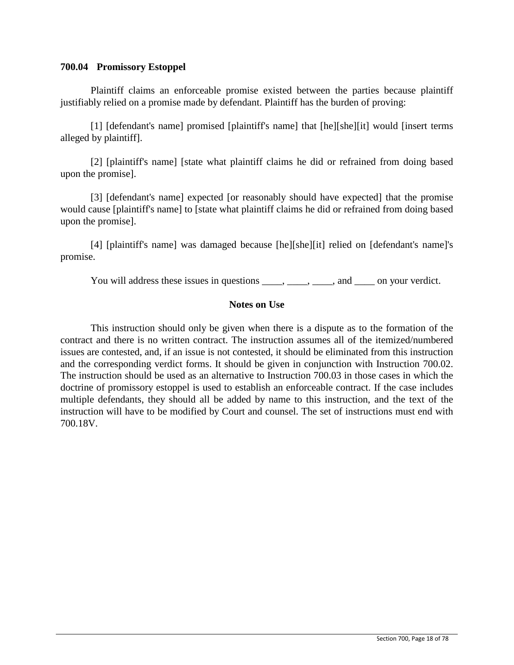# **700.04 Promissory Estoppel**

Plaintiff claims an enforceable promise existed between the parties because plaintiff justifiably relied on a promise made by defendant. Plaintiff has the burden of proving:

[1] [defendant's name] promised [plaintiff's name] that [he][she][it] would [insert terms alleged by plaintiff].

[2] [plaintiff's name] [state what plaintiff claims he did or refrained from doing based upon the promise].

[3] [defendant's name] expected [or reasonably should have expected] that the promise would cause [plaintiff's name] to [state what plaintiff claims he did or refrained from doing based upon the promise].

[4] [plaintiff's name] was damaged because [he][she][it] relied on [defendant's name]'s promise.

You will address these issues in questions \_\_\_\_, \_\_\_\_, \_\_\_\_, and \_\_\_\_ on your verdict.

# **Notes on Use**

This instruction should only be given when there is a dispute as to the formation of the contract and there is no written contract. The instruction assumes all of the itemized/numbered issues are contested, and, if an issue is not contested, it should be eliminated from this instruction and the corresponding verdict forms. It should be given in conjunction with Instruction 700.02. The instruction should be used as an alternative to Instruction 700.03 in those cases in which the doctrine of promissory estoppel is used to establish an enforceable contract. If the case includes multiple defendants, they should all be added by name to this instruction, and the text of the instruction will have to be modified by Court and counsel. The set of instructions must end with 700.18V.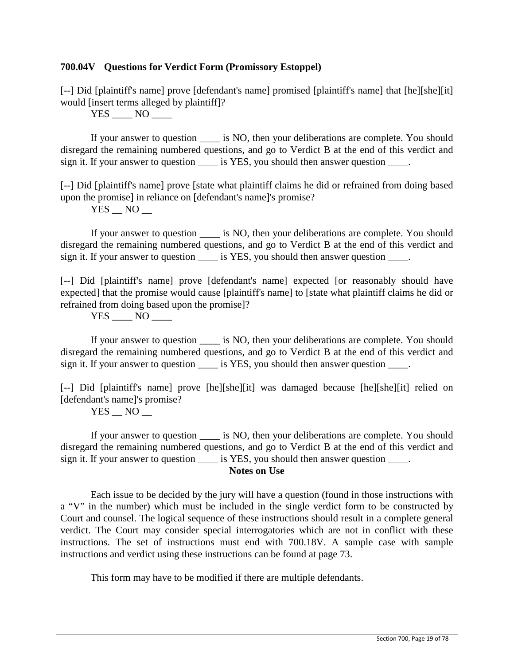## **700.04V Questions for Verdict Form (Promissory Estoppel)**

[--] Did [plaintiff's name] prove [defendant's name] promised [plaintiff's name] that [he][she][it] would [insert terms alleged by plaintiff]?

 $YES$  NO  $\_\_$ 

If your answer to question  $\qquad$  is NO, then your deliberations are complete. You should disregard the remaining numbered questions, and go to Verdict B at the end of this verdict and sign it. If your answer to question is YES, you should then answer question  $\blacksquare$ .

[--] Did [plaintiff's name] prove [state what plaintiff claims he did or refrained from doing based upon the promise] in reliance on [defendant's name]'s promise?

 $YES$   $NO$   $-$ 

If your answer to question  $\qquad$  is NO, then your deliberations are complete. You should disregard the remaining numbered questions, and go to Verdict B at the end of this verdict and sign it. If your answer to question \_\_\_\_\_ is YES, you should then answer question \_\_\_\_.

[--] Did [plaintiff's name] prove [defendant's name] expected [or reasonably should have expected] that the promise would cause [plaintiff's name] to [state what plaintiff claims he did or refrained from doing based upon the promise]?

YES \_\_\_\_ NO \_\_\_\_

If your answer to question  $\qquad$  is NO, then your deliberations are complete. You should disregard the remaining numbered questions, and go to Verdict B at the end of this verdict and sign it. If your answer to question \_\_\_\_\_ is YES, you should then answer question \_\_\_\_.

[--] Did [plaintiff's name] prove [he][she][it] was damaged because [he][she][it] relied on [defendant's name]'s promise?

 $YES$   $NO$   $-$ 

If your answer to question is NO, then your deliberations are complete. You should disregard the remaining numbered questions, and go to Verdict B at the end of this verdict and sign it. If your answer to question \_\_\_\_\_ is YES, you should then answer question \_\_\_\_.

## **Notes on Use**

Each issue to be decided by the jury will have a question (found in those instructions with a "V" in the number) which must be included in the single verdict form to be constructed by Court and counsel. The logical sequence of these instructions should result in a complete general verdict. The Court may consider special interrogatories which are not in conflict with these instructions. The set of instructions must end with 700.18V. A sample case with sample instructions and verdict using these instructions can be found at page 73.

This form may have to be modified if there are multiple defendants.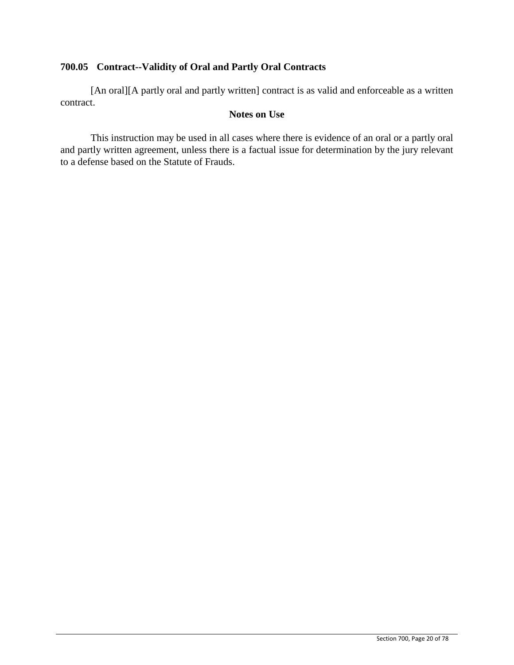# **700.05 Contract--Validity of Oral and Partly Oral Contracts**

[An oral][A partly oral and partly written] contract is as valid and enforceable as a written contract.

## **Notes on Use**

This instruction may be used in all cases where there is evidence of an oral or a partly oral and partly written agreement, unless there is a factual issue for determination by the jury relevant to a defense based on the Statute of Frauds.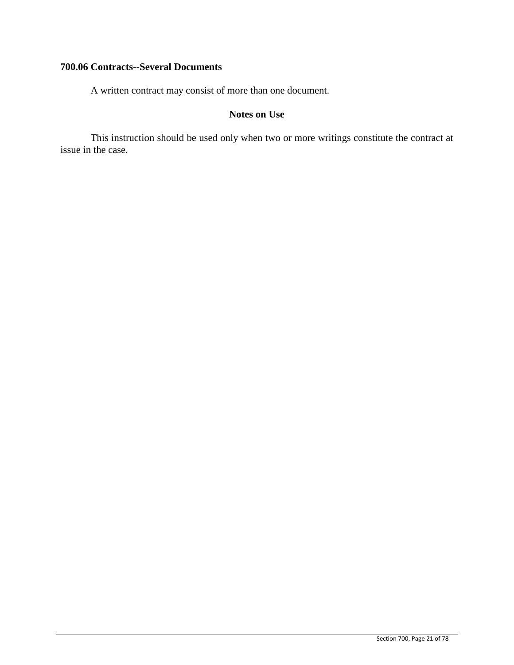# **700.06 Contracts--Several Documents**

A written contract may consist of more than one document.

# **Notes on Use**

This instruction should be used only when two or more writings constitute the contract at issue in the case.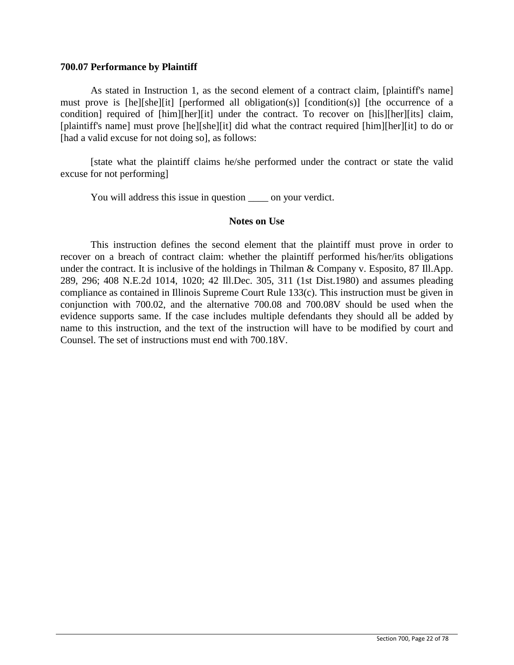### **700.07 Performance by Plaintiff**

As stated in Instruction 1, as the second element of a contract claim, [plaintiff's name] must prove is [he][she][it] [performed all obligation(s)] [condition(s)] [the occurrence of a condition] required of [him][her][it] under the contract. To recover on [his][her][its] claim, [plaintiff's name] must prove [he][she][it] did what the contract required [him][her][it] to do or [had a valid excuse for not doing so], as follows:

[state what the plaintiff claims he/she performed under the contract or state the valid excuse for not performing]

You will address this issue in question \_\_\_\_ on your verdict.

### **Notes on Use**

This instruction defines the second element that the plaintiff must prove in order to recover on a breach of contract claim: whether the plaintiff performed his/her/its obligations under the contract. It is inclusive of the holdings in Thilman & Company v. Esposito, 87 Ill.App. 289, 296; 408 N.E.2d 1014, 1020; 42 Ill.Dec. 305, 311 (1st Dist.1980) and assumes pleading compliance as contained in Illinois Supreme Court Rule 133(c). This instruction must be given in conjunction with 700.02, and the alternative 700.08 and 700.08V should be used when the evidence supports same. If the case includes multiple defendants they should all be added by name to this instruction, and the text of the instruction will have to be modified by court and Counsel. The set of instructions must end with 700.18V.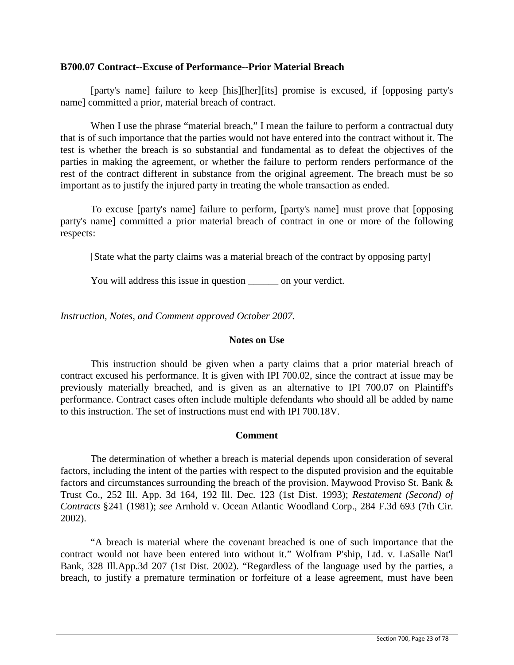### **B700.07 Contract--Excuse of Performance--Prior Material Breach**

[party's name] failure to keep [his][her][its] promise is excused, if [opposing party's name] committed a prior, material breach of contract.

When I use the phrase "material breach," I mean the failure to perform a contractual duty that is of such importance that the parties would not have entered into the contract without it. The test is whether the breach is so substantial and fundamental as to defeat the objectives of the parties in making the agreement, or whether the failure to perform renders performance of the rest of the contract different in substance from the original agreement. The breach must be so important as to justify the injured party in treating the whole transaction as ended.

To excuse [party's name] failure to perform, [party's name] must prove that [opposing party's name] committed a prior material breach of contract in one or more of the following respects:

[State what the party claims was a material breach of the contract by opposing party]

You will address this issue in question \_\_\_\_\_\_ on your verdict.

*Instruction, Notes, and Comment approved October 2007.*

## **Notes on Use**

This instruction should be given when a party claims that a prior material breach of contract excused his performance. It is given with IPI 700.02, since the contract at issue may be previously materially breached, and is given as an alternative to IPI 700.07 on Plaintiff's performance. Contract cases often include multiple defendants who should all be added by name to this instruction. The set of instructions must end with IPI 700.18V.

## **Comment**

The determination of whether a breach is material depends upon consideration of several factors, including the intent of the parties with respect to the disputed provision and the equitable factors and circumstances surrounding the breach of the provision. Maywood Proviso St. Bank & Trust Co., 252 Ill. App. 3d 164, 192 Ill. Dec. 123 (1st Dist. 1993); *Restatement (Second) of Contracts* §241 (1981); *see* Arnhold v. Ocean Atlantic Woodland Corp., 284 F.3d 693 (7th Cir. 2002).

"A breach is material where the covenant breached is one of such importance that the contract would not have been entered into without it." Wolfram P'ship, Ltd. v. LaSalle Nat'l Bank, 328 Ill.App.3d 207 (1st Dist. 2002). "Regardless of the language used by the parties, a breach, to justify a premature termination or forfeiture of a lease agreement, must have been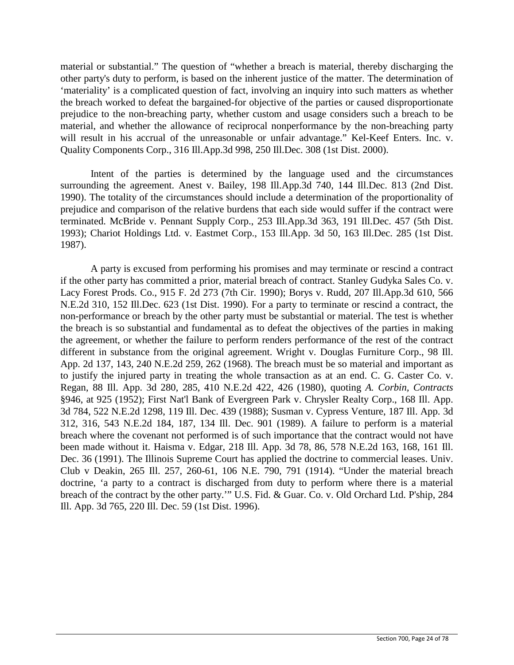material or substantial." The question of "whether a breach is material, thereby discharging the other party's duty to perform, is based on the inherent justice of the matter. The determination of 'materiality' is a complicated question of fact, involving an inquiry into such matters as whether the breach worked to defeat the bargained-for objective of the parties or caused disproportionate prejudice to the non-breaching party, whether custom and usage considers such a breach to be material, and whether the allowance of reciprocal nonperformance by the non-breaching party will result in his accrual of the unreasonable or unfair advantage." Kel-Keef Enters. Inc. v. Quality Components Corp., 316 Ill.App.3d 998, 250 Ill.Dec. 308 (1st Dist. 2000).

Intent of the parties is determined by the language used and the circumstances surrounding the agreement. Anest v. Bailey, 198 Ill.App.3d 740, 144 Ill.Dec. 813 (2nd Dist. 1990). The totality of the circumstances should include a determination of the proportionality of prejudice and comparison of the relative burdens that each side would suffer if the contract were terminated. McBride v. Pennant Supply Corp., 253 Ill.App.3d 363, 191 Ill.Dec. 457 (5th Dist. 1993); Chariot Holdings Ltd. v. Eastmet Corp., 153 Ill.App. 3d 50, 163 Ill.Dec. 285 (1st Dist. 1987).

A party is excused from performing his promises and may terminate or rescind a contract if the other party has committed a prior, material breach of contract. Stanley Gudyka Sales Co. v. Lacy Forest Prods. Co., 915 F. 2d 273 (7th Cir. 1990); Borys v. Rudd, 207 Ill.App.3d 610, 566 N.E.2d 310, 152 Ill.Dec. 623 (1st Dist. 1990). For a party to terminate or rescind a contract, the non-performance or breach by the other party must be substantial or material. The test is whether the breach is so substantial and fundamental as to defeat the objectives of the parties in making the agreement, or whether the failure to perform renders performance of the rest of the contract different in substance from the original agreement. Wright v. Douglas Furniture Corp., 98 Ill. App. 2d 137, 143, 240 N.E.2d 259, 262 (1968). The breach must be so material and important as to justify the injured party in treating the whole transaction as at an end. C. G. Caster Co. v. Regan, 88 Ill. App. 3d 280, 285, 410 N.E.2d 422, 426 (1980), quoting *A. Corbin, Contracts* §946, at 925 (1952); First Nat'l Bank of Evergreen Park v. Chrysler Realty Corp., 168 Ill. App. 3d 784, 522 N.E.2d 1298, 119 Ill. Dec. 439 (1988); Susman v. Cypress Venture, 187 Ill. App. 3d 312, 316, 543 N.E.2d 184, 187, 134 Ill. Dec. 901 (1989). A failure to perform is a material breach where the covenant not performed is of such importance that the contract would not have been made without it. Haisma v. Edgar, 218 Ill. App. 3d 78, 86, 578 N.E.2d 163, 168, 161 Ill. Dec. 36 (1991). The Illinois Supreme Court has applied the doctrine to commercial leases. Univ. Club v Deakin, 265 Ill. 257, 260-61, 106 N.E. 790, 791 (1914). "Under the material breach doctrine, 'a party to a contract is discharged from duty to perform where there is a material breach of the contract by the other party.'" U.S. Fid. & Guar. Co. v. Old Orchard Ltd. P'ship, 284 Ill. App. 3d 765, 220 Ill. Dec. 59 (1st Dist. 1996).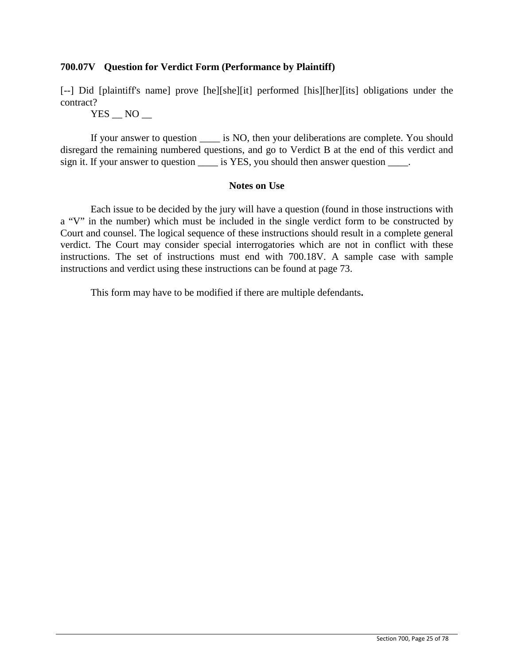# **700.07V Question for Verdict Form (Performance by Plaintiff)**

[--] Did [plaintiff's name] prove [he][she][it] performed [his][her][its] obligations under the contract?

 $YES$   $NO$   $-$ 

If your answer to question  $\qquad$  is NO, then your deliberations are complete. You should disregard the remaining numbered questions, and go to Verdict B at the end of this verdict and sign it. If your answer to question is YES, you should then answer question  $\blacksquare$ .

## **Notes on Use**

Each issue to be decided by the jury will have a question (found in those instructions with a "V" in the number) which must be included in the single verdict form to be constructed by Court and counsel. The logical sequence of these instructions should result in a complete general verdict. The Court may consider special interrogatories which are not in conflict with these instructions. The set of instructions must end with 700.18V. A sample case with sample instructions and verdict using these instructions can be found at page 73.

This form may have to be modified if there are multiple defendants**.**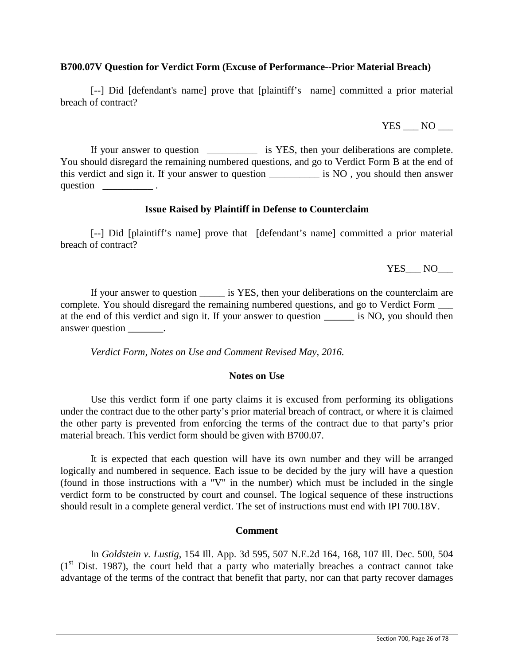## **B700.07V Question for Verdict Form (Excuse of Performance--Prior Material Breach)**

[--] Did [defendant's name] prove that [plaintiff's name] committed a prior material breach of contract?

YES NO

If your answer to question \_\_\_\_\_\_\_\_\_\_ is YES, then your deliberations are complete. You should disregard the remaining numbered questions, and go to Verdict Form B at the end of this verdict and sign it. If your answer to question \_\_\_\_\_\_\_\_\_\_ is NO , you should then answer question  $\qquad \qquad$ .

### **Issue Raised by Plaintiff in Defense to Counterclaim**

[--] Did [plaintiff's name] prove that [defendant's name] committed a prior material breach of contract?

YES NO

If your answer to question \_\_\_\_\_ is YES, then your deliberations on the counterclaim are complete. You should disregard the remaining numbered questions, and go to Verdict Form \_\_\_ at the end of this verdict and sign it. If your answer to question \_\_\_\_\_\_ is NO, you should then answer question \_\_\_\_\_\_\_.

*Verdict Form, Notes on Use and Comment Revised May, 2016.*

## **Notes on Use**

Use this verdict form if one party claims it is excused from performing its obligations under the contract due to the other party's prior material breach of contract, or where it is claimed the other party is prevented from enforcing the terms of the contract due to that party's prior material breach. This verdict form should be given with B700.07.

It is expected that each question will have its own number and they will be arranged logically and numbered in sequence. Each issue to be decided by the jury will have a question (found in those instructions with a "V" in the number) which must be included in the single verdict form to be constructed by court and counsel. The logical sequence of these instructions should result in a complete general verdict. The set of instructions must end with IPI 700.18V.

### **Comment**

In *Goldstein v. Lustig*, 154 Ill. App. 3d 595, 507 N.E.2d 164, 168, 107 Ill. Dec. 500, 504  $(1<sup>st</sup> Dist. 1987)$ , the court held that a party who materially breaches a contract cannot take advantage of the terms of the contract that benefit that party, nor can that party recover damages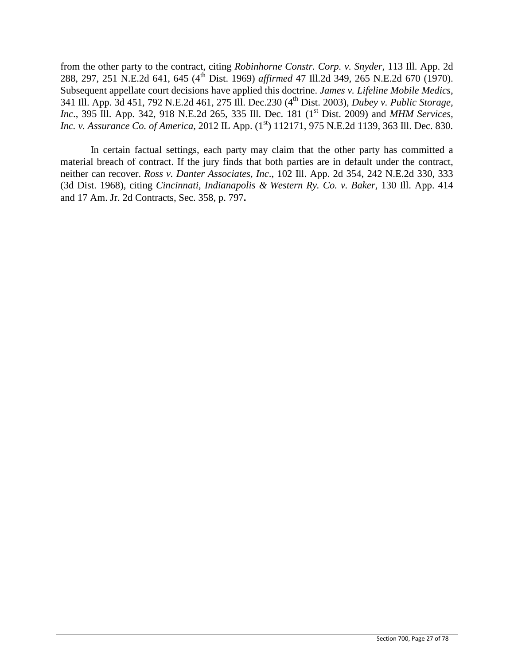from the other party to the contract, citing *Robinhorne Constr. Corp. v. Snyder*, 113 Ill. App. 2d 288, 297, 251 N.E.2d 641, 645 (4th Dist. 1969) *affirmed* 47 Ill.2d 349, 265 N.E.2d 670 (1970). Subsequent appellate court decisions have applied this doctrine. *James v. Lifeline Mobile Medics*, 341 Ill. App. 3d 451, 792 N.E.2d 461, 275 Ill. Dec.230 (4th Dist. 2003), *Dubey v. Public Storage, Inc.*, 395 Ill. App. 342, 918 N.E.2d 265, 335 Ill. Dec. 181 (1<sup>st</sup> Dist. 2009) and *MHM Services*, *Inc. v. Assurance Co. of America,* 2012 IL App. (1<sup>st</sup>) 112171, 975 N.E.2d 1139, 363 Ill. Dec. 830.

In certain factual settings, each party may claim that the other party has committed a material breach of contract. If the jury finds that both parties are in default under the contract, neither can recover. *Ross v. Danter Associates, Inc*., 102 Ill. App. 2d 354, 242 N.E.2d 330, 333 (3d Dist. 1968), citing *Cincinnati, Indianapolis & Western Ry. Co. v. Baker*, 130 Ill. App. 414 and 17 Am. Jr. 2d Contracts, Sec. 358, p. 797**.**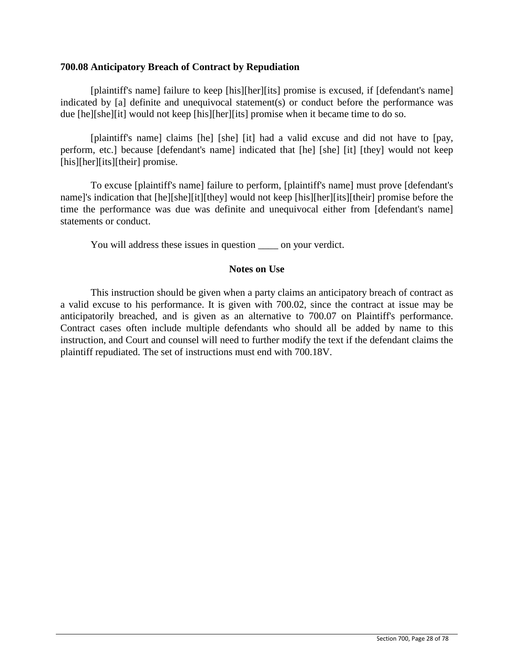### **700.08 Anticipatory Breach of Contract by Repudiation**

[plaintiff's name] failure to keep [his][her][its] promise is excused, if [defendant's name] indicated by [a] definite and unequivocal statement(s) or conduct before the performance was due [he][she][it] would not keep [his][her][its] promise when it became time to do so.

[plaintiff's name] claims [he] [she] [it] had a valid excuse and did not have to [pay, perform, etc.] because [defendant's name] indicated that [he] [she] [it] [they] would not keep [his][her][its][their] promise.

To excuse [plaintiff's name] failure to perform, [plaintiff's name] must prove [defendant's name]'s indication that [he][she][it][they] would not keep [his][her][its][their] promise before the time the performance was due was definite and unequivocal either from [defendant's name] statements or conduct.

You will address these issues in question \_\_\_\_ on your verdict.

## **Notes on Use**

This instruction should be given when a party claims an anticipatory breach of contract as a valid excuse to his performance. It is given with 700.02, since the contract at issue may be anticipatorily breached, and is given as an alternative to 700.07 on Plaintiff's performance. Contract cases often include multiple defendants who should all be added by name to this instruction, and Court and counsel will need to further modify the text if the defendant claims the plaintiff repudiated. The set of instructions must end with 700.18V.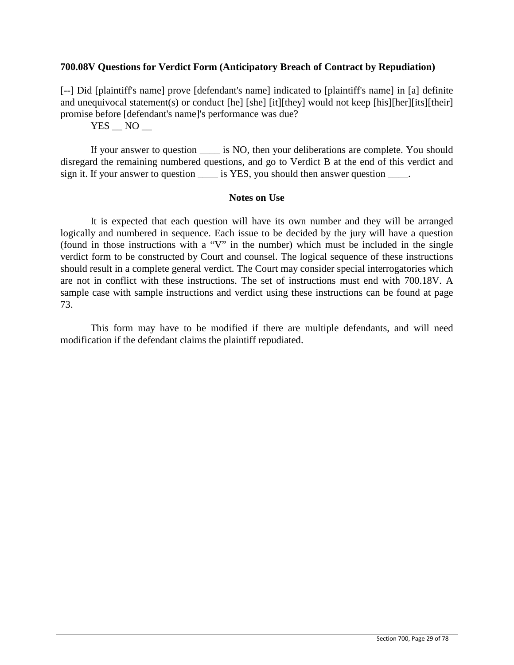### **700.08V Questions for Verdict Form (Anticipatory Breach of Contract by Repudiation)**

[--] Did [plaintiff's name] prove [defendant's name] indicated to [plaintiff's name] in [a] definite and unequivocal statement(s) or conduct [he] [she] [it][they] would not keep [his][her][its][their] promise before [defendant's name]'s performance was due?

 $YES$   $NO$   $-$ 

If your answer to question is NO, then your deliberations are complete. You should disregard the remaining numbered questions, and go to Verdict B at the end of this verdict and sign it. If your answer to question \_\_\_\_\_ is YES, you should then answer question \_\_\_\_.

### **Notes on Use**

It is expected that each question will have its own number and they will be arranged logically and numbered in sequence. Each issue to be decided by the jury will have a question (found in those instructions with a "V" in the number) which must be included in the single verdict form to be constructed by Court and counsel. The logical sequence of these instructions should result in a complete general verdict. The Court may consider special interrogatories which are not in conflict with these instructions. The set of instructions must end with 700.18V. A sample case with sample instructions and verdict using these instructions can be found at page 73.

This form may have to be modified if there are multiple defendants, and will need modification if the defendant claims the plaintiff repudiated.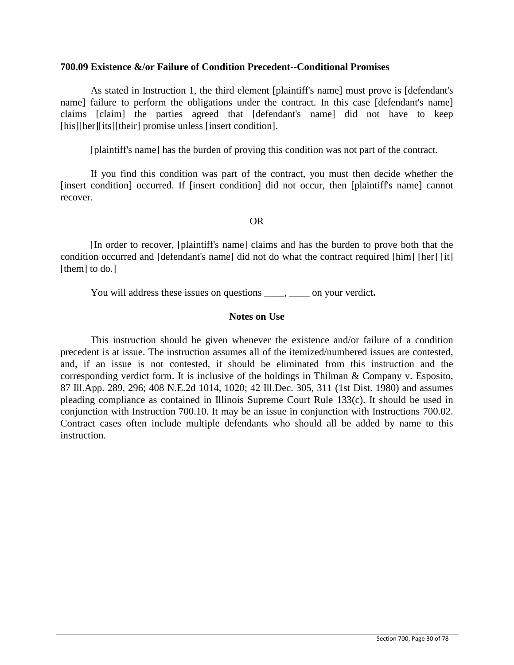### **700.09 Existence &/or Failure of Condition Precedent--Conditional Promises**

As stated in Instruction 1, the third element [plaintiff's name] must prove is [defendant's name] failure to perform the obligations under the contract. In this case [defendant's name] claims [claim] the parties agreed that [defendant's name] did not have to keep [his][her][its][their] promise unless [insert condition].

[plaintiff's name] has the burden of proving this condition was not part of the contract.

If you find this condition was part of the contract, you must then decide whether the [insert condition] occurred. If [insert condition] did not occur, then [plaintiff's name] cannot recover.

### OR

[In order to recover, [plaintiff's name] claims and has the burden to prove both that the condition occurred and [defendant's name] did not do what the contract required [him] [her] [it] [them] to do.]

You will address these issues on questions \_\_\_\_, \_\_\_\_ on your verdict.

## **Notes on Use**

This instruction should be given whenever the existence and/or failure of a condition precedent is at issue. The instruction assumes all of the itemized/numbered issues are contested, and, if an issue is not contested, it should be eliminated from this instruction and the corresponding verdict form. It is inclusive of the holdings in Thilman & Company v. Esposito, 87 Ill.App. 289, 296; 408 N.E.2d 1014, 1020; 42 Ill.Dec. 305, 311 (1st Dist. 1980) and assumes pleading compliance as contained in Illinois Supreme Court Rule 133(c). It should be used in conjunction with Instruction 700.10. It may be an issue in conjunction with Instructions 700.02. Contract cases often include multiple defendants who should all be added by name to this instruction.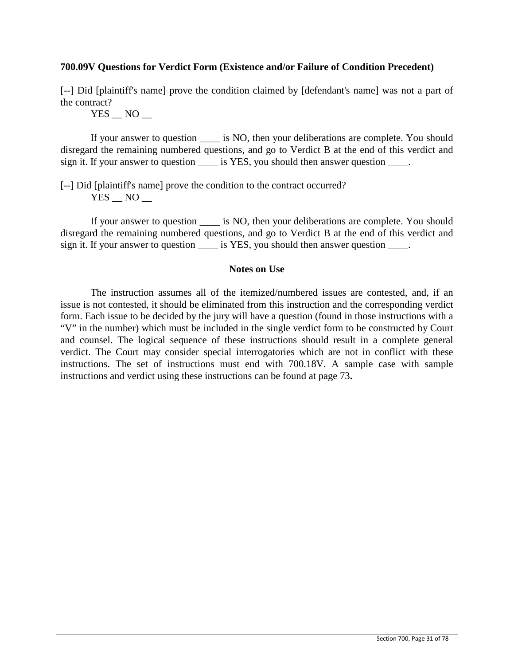## **700.09V Questions for Verdict Form (Existence and/or Failure of Condition Precedent)**

[--] Did [plaintiff's name] prove the condition claimed by [defendant's name] was not a part of the contract?

 $YES$   $NO$   $-$ 

If your answer to question  $\qquad$  is NO, then your deliberations are complete. You should disregard the remaining numbered questions, and go to Verdict B at the end of this verdict and sign it. If your answer to question \_\_\_\_\_ is YES, you should then answer question \_\_\_\_.

[--] Did [plaintiff's name] prove the condition to the contract occurred?  $YES$   $NO$   $-$ 

If your answer to question  $\_\_\_$  is NO, then your deliberations are complete. You should disregard the remaining numbered questions, and go to Verdict B at the end of this verdict and sign it. If your answer to question \_\_\_\_\_ is YES, you should then answer question \_\_\_\_.

## **Notes on Use**

The instruction assumes all of the itemized/numbered issues are contested, and, if an issue is not contested, it should be eliminated from this instruction and the corresponding verdict form. Each issue to be decided by the jury will have a question (found in those instructions with a "V" in the number) which must be included in the single verdict form to be constructed by Court and counsel. The logical sequence of these instructions should result in a complete general verdict. The Court may consider special interrogatories which are not in conflict with these instructions. The set of instructions must end with 700.18V. A sample case with sample instructions and verdict using these instructions can be found at page 73**.**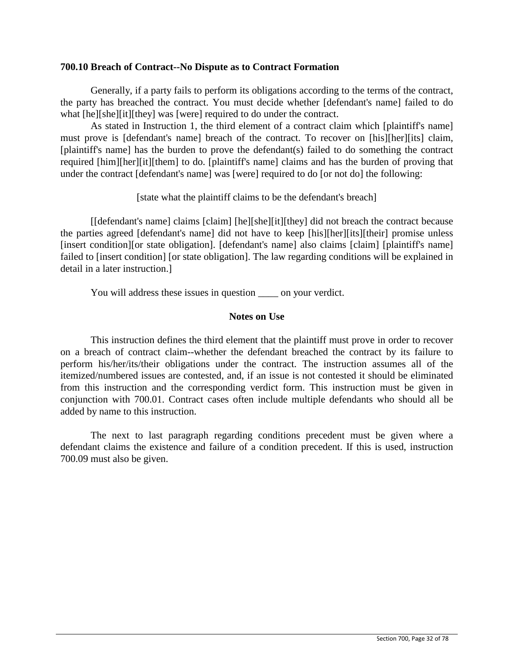### **700.10 Breach of Contract--No Dispute as to Contract Formation**

Generally, if a party fails to perform its obligations according to the terms of the contract, the party has breached the contract. You must decide whether [defendant's name] failed to do what  $[he][she][it][they]$  was [were] required to do under the contract.

As stated in Instruction 1, the third element of a contract claim which [plaintiff's name] must prove is [defendant's name] breach of the contract. To recover on [his][her][its] claim, [plaintiff's name] has the burden to prove the defendant(s) failed to do something the contract required [him][her][it][them] to do. [plaintiff's name] claims and has the burden of proving that under the contract [defendant's name] was [were] required to do [or not do] the following:

[state what the plaintiff claims to be the defendant's breach]

[[defendant's name] claims [claim] [he][she][it][they] did not breach the contract because the parties agreed [defendant's name] did not have to keep [his][her][its][their] promise unless [insert condition][or state obligation]. [defendant's name] also claims [claim] [plaintiff's name] failed to [insert condition] [or state obligation]. The law regarding conditions will be explained in detail in a later instruction.]

You will address these issues in question \_\_\_\_ on your verdict.

# **Notes on Use**

This instruction defines the third element that the plaintiff must prove in order to recover on a breach of contract claim--whether the defendant breached the contract by its failure to perform his/her/its/their obligations under the contract. The instruction assumes all of the itemized/numbered issues are contested, and, if an issue is not contested it should be eliminated from this instruction and the corresponding verdict form. This instruction must be given in conjunction with 700.01. Contract cases often include multiple defendants who should all be added by name to this instruction.

The next to last paragraph regarding conditions precedent must be given where a defendant claims the existence and failure of a condition precedent. If this is used, instruction 700.09 must also be given.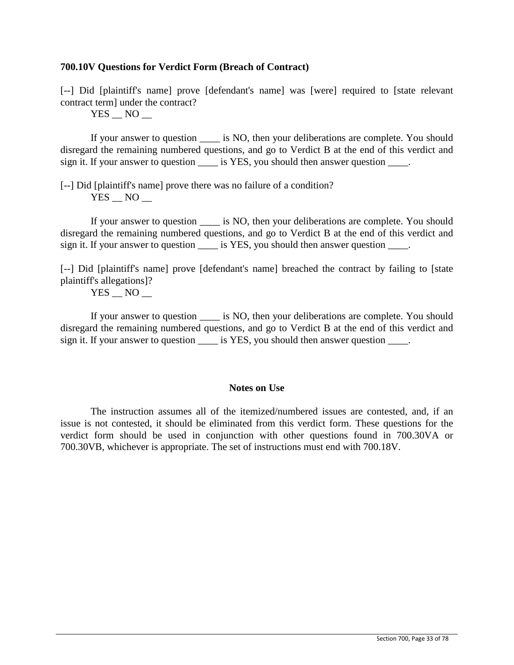## **700.10V Questions for Verdict Form (Breach of Contract)**

[--] Did [plaintiff's name] prove [defendant's name] was [were] required to [state relevant contract term] under the contract?

 $YES$   $NO$   $-$ 

If your answer to question  $\qquad$  is NO, then your deliberations are complete. You should disregard the remaining numbered questions, and go to Verdict B at the end of this verdict and sign it. If your answer to question \_\_\_\_\_ is YES, you should then answer question \_\_\_\_.

[--] Did [plaintiff's name] prove there was no failure of a condition?  $YES$   $NO$   $-$ 

If your answer to question  $\qquad$  is NO, then your deliberations are complete. You should disregard the remaining numbered questions, and go to Verdict B at the end of this verdict and sign it. If your answer to question \_\_\_\_\_ is YES, you should then answer question \_\_\_\_.

[--] Did [plaintiff's name] prove [defendant's name] breached the contract by failing to [state plaintiff's allegations]?

 $YES$   $NO$   $-$ 

If your answer to question  $\qquad$  is NO, then your deliberations are complete. You should disregard the remaining numbered questions, and go to Verdict B at the end of this verdict and sign it. If your answer to question \_\_\_\_\_ is YES, you should then answer question \_\_\_\_\_.

### **Notes on Use**

The instruction assumes all of the itemized/numbered issues are contested, and, if an issue is not contested, it should be eliminated from this verdict form. These questions for the verdict form should be used in conjunction with other questions found in 700.30VA or 700.30VB, whichever is appropriate. The set of instructions must end with 700.18V.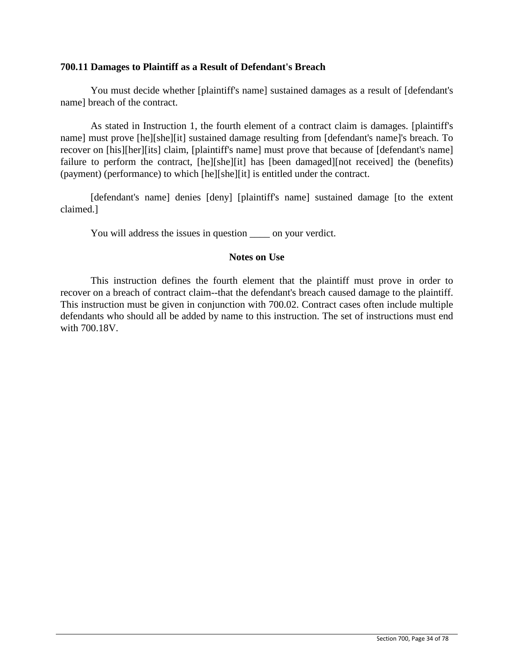### **700.11 Damages to Plaintiff as a Result of Defendant's Breach**

You must decide whether [plaintiff's name] sustained damages as a result of [defendant's name] breach of the contract.

As stated in Instruction 1, the fourth element of a contract claim is damages. [plaintiff's name] must prove [he][she][it] sustained damage resulting from [defendant's name]'s breach. To recover on [his][her][its] claim, [plaintiff's name] must prove that because of [defendant's name] failure to perform the contract, [he][she][it] has [been damaged][not received] the (benefits) (payment) (performance) to which [he][she][it] is entitled under the contract.

[defendant's name] denies [deny] [plaintiff's name] sustained damage [to the extent claimed.]

You will address the issues in question \_\_\_\_\_\_ on your verdict.

## **Notes on Use**

This instruction defines the fourth element that the plaintiff must prove in order to recover on a breach of contract claim--that the defendant's breach caused damage to the plaintiff. This instruction must be given in conjunction with 700.02. Contract cases often include multiple defendants who should all be added by name to this instruction. The set of instructions must end with 700.18V.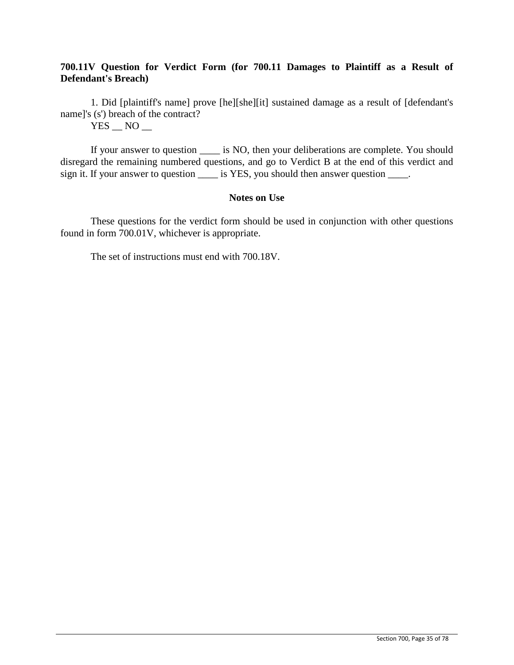# **700.11V Question for Verdict Form (for 700.11 Damages to Plaintiff as a Result of Defendant's Breach)**

1. Did [plaintiff's name] prove [he][she][it] sustained damage as a result of [defendant's name]'s (s') breach of the contract?

 $YES$   $NO$   $-$ 

If your answer to question \_\_\_\_ is NO, then your deliberations are complete. You should disregard the remaining numbered questions, and go to Verdict B at the end of this verdict and sign it. If your answer to question \_\_\_\_\_ is YES, you should then answer question \_\_\_\_.

## **Notes on Use**

These questions for the verdict form should be used in conjunction with other questions found in form 700.01V, whichever is appropriate.

The set of instructions must end with 700.18V.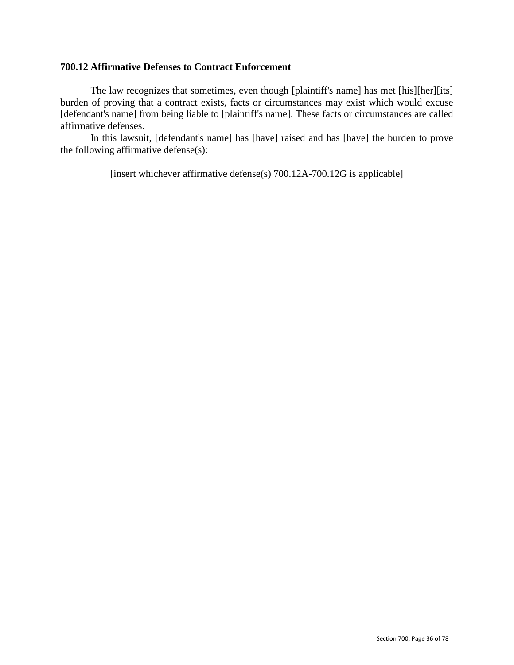## **700.12 Affirmative Defenses to Contract Enforcement**

The law recognizes that sometimes, even though [plaintiff's name] has met [his][her][its] burden of proving that a contract exists, facts or circumstances may exist which would excuse [defendant's name] from being liable to [plaintiff's name]. These facts or circumstances are called affirmative defenses.

In this lawsuit, [defendant's name] has [have] raised and has [have] the burden to prove the following affirmative defense(s):

[insert whichever affirmative defense(s) 700.12A-700.12G is applicable]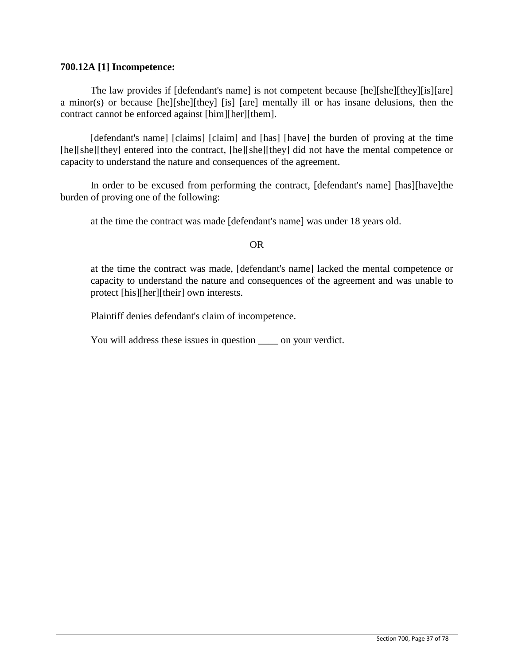#### **700.12A [1] Incompetence:**

The law provides if [defendant's name] is not competent because [he][she][they][is][are] a minor(s) or because [he][she][they] [is] [are] mentally ill or has insane delusions, then the contract cannot be enforced against [him][her][them].

[defendant's name] [claims] [claim] and [has] [have] the burden of proving at the time [he][she][they] entered into the contract, [he][she][they] did not have the mental competence or capacity to understand the nature and consequences of the agreement.

In order to be excused from performing the contract, [defendant's name] [has][have]the burden of proving one of the following:

at the time the contract was made [defendant's name] was under 18 years old.

#### OR

at the time the contract was made, [defendant's name] lacked the mental competence or capacity to understand the nature and consequences of the agreement and was unable to protect [his][her][their] own interests.

Plaintiff denies defendant's claim of incompetence.

You will address these issues in question \_\_\_\_\_ on your verdict.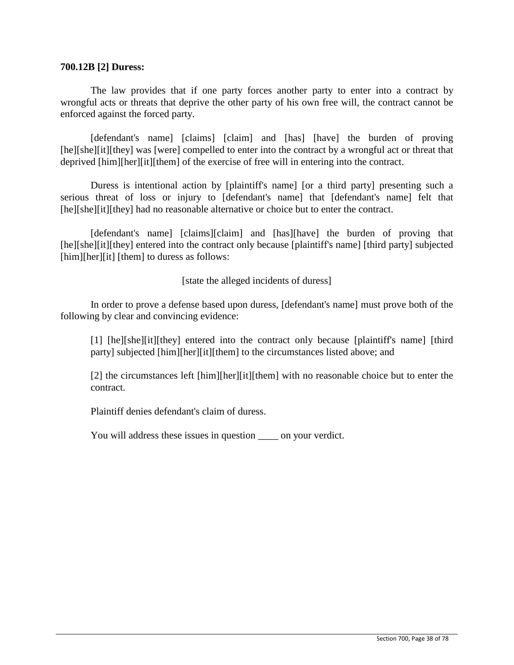#### **700.12B [2] Duress:**

The law provides that if one party forces another party to enter into a contract by wrongful acts or threats that deprive the other party of his own free will, the contract cannot be enforced against the forced party.

[defendant's name] [claims] [claim] and [has] [have] the burden of proving [he][she][it][they] was [were] compelled to enter into the contract by a wrongful act or threat that deprived [him][her][it][them] of the exercise of free will in entering into the contract.

Duress is intentional action by [plaintiff's name] [or a third party] presenting such a serious threat of loss or injury to [defendant's name] that [defendant's name] felt that [he][she][it][they] had no reasonable alternative or choice but to enter the contract.

[defendant's name] [claims][claim] and [has][have] the burden of proving that [he][she][it][they] entered into the contract only because [plaintiff's name] [third party] subjected [him][her][it] [them] to duress as follows:

[state the alleged incidents of duress]

In order to prove a defense based upon duress, [defendant's name] must prove both of the following by clear and convincing evidence:

[1] [he][she][it][they] entered into the contract only because [plaintiff's name] [third] party] subjected [him][her][it][them] to the circumstances listed above; and

[2] the circumstances left [him][her][it][them] with no reasonable choice but to enter the contract.

Plaintiff denies defendant's claim of duress.

You will address these issues in question on your verdict.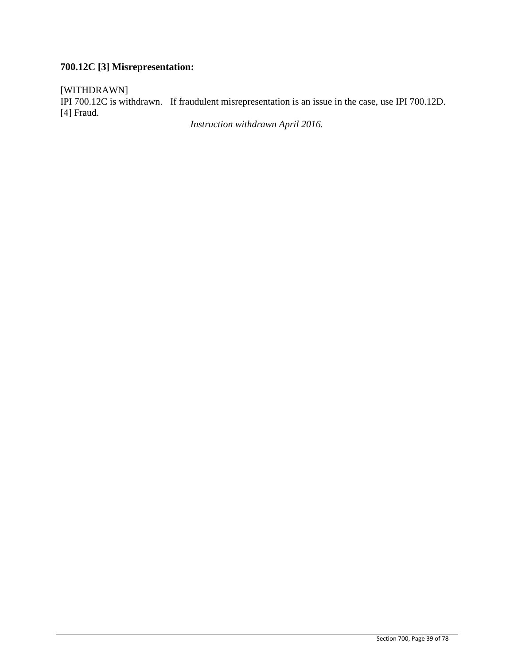## **700.12C [3] Misrepresentation:**

[WITHDRAWN]

IPI 700.12C is withdrawn. If fraudulent misrepresentation is an issue in the case, use IPI 700.12D. [4] Fraud.

*Instruction withdrawn April 2016.*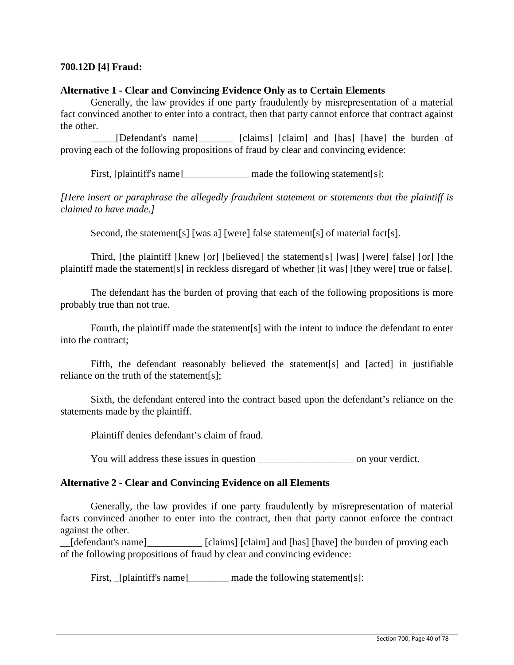## **700.12D [4] Fraud:**

#### **Alternative 1 - Clear and Convincing Evidence Only as to Certain Elements**

Generally, the law provides if one party fraudulently by misrepresentation of a material fact convinced another to enter into a contract, then that party cannot enforce that contract against the other.

\_\_\_\_\_[Defendant's name]\_\_\_\_\_\_\_ [claims] [claim] and [has] [have] the burden of proving each of the following propositions of fraud by clear and convincing evidence:

First, [plaintiff's name]\_\_\_\_\_\_\_\_\_\_\_\_\_\_\_\_\_ made the following statement[s]:

*[Here insert or paraphrase the allegedly fraudulent statement or statements that the plaintiff is claimed to have made.]*

Second, the statement<sup>[s]</sup> [was a] [were] false statement<sup>[s]</sup> of material fact<sup>[s]</sup>.

Third, [the plaintiff [knew [or] [believed] the statement[s] [was] [were] false] [or] [the plaintiff made the statement[s] in reckless disregard of whether [it was] [they were] true or false].

The defendant has the burden of proving that each of the following propositions is more probably true than not true.

Fourth, the plaintiff made the statement[s] with the intent to induce the defendant to enter into the contract;

Fifth, the defendant reasonably believed the statement[s] and [acted] in justifiable reliance on the truth of the statement[s];

Sixth, the defendant entered into the contract based upon the defendant's reliance on the statements made by the plaintiff.

Plaintiff denies defendant's claim of fraud.

You will address these issues in question \_\_\_\_\_\_\_\_\_\_\_\_\_\_\_\_\_\_\_ on your verdict.

#### **Alternative 2 - Clear and Convincing Evidence on all Elements**

Generally, the law provides if one party fraudulently by misrepresentation of material facts convinced another to enter into the contract, then that party cannot enforce the contract against the other.

[defendant's name] [claims] [claim] and [has] [have] the burden of proving each of the following propositions of fraud by clear and convincing evidence:

First, [plaintiff's name] made the following statement[s]: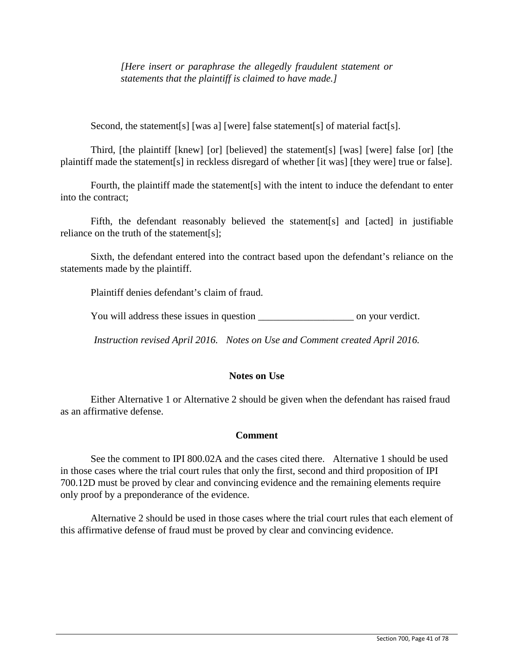*[Here insert or paraphrase the allegedly fraudulent statement or statements that the plaintiff is claimed to have made.]*

Second, the statement<sup>[s]</sup> [was a] [were] false statement<sup>[s]</sup> of material fact<sup>[s]</sup>.

Third, [the plaintiff [knew] [or] [believed] the statement[s] [was] [were] false [or] [the plaintiff made the statement[s] in reckless disregard of whether [it was] [they were] true or false].

Fourth, the plaintiff made the statement[s] with the intent to induce the defendant to enter into the contract;

Fifth, the defendant reasonably believed the statement[s] and [acted] in justifiable reliance on the truth of the statement[s];

Sixth, the defendant entered into the contract based upon the defendant's reliance on the statements made by the plaintiff.

Plaintiff denies defendant's claim of fraud.

You will address these issues in question \_\_\_\_\_\_\_\_\_\_\_\_\_\_\_\_\_\_\_ on your verdict.

*Instruction revised April 2016. Notes on Use and Comment created April 2016.*

## **Notes on Use**

Either Alternative 1 or Alternative 2 should be given when the defendant has raised fraud as an affirmative defense.

#### **Comment**

See the comment to IPI 800.02A and the cases cited there. Alternative 1 should be used in those cases where the trial court rules that only the first, second and third proposition of IPI 700.12D must be proved by clear and convincing evidence and the remaining elements require only proof by a preponderance of the evidence.

Alternative 2 should be used in those cases where the trial court rules that each element of this affirmative defense of fraud must be proved by clear and convincing evidence.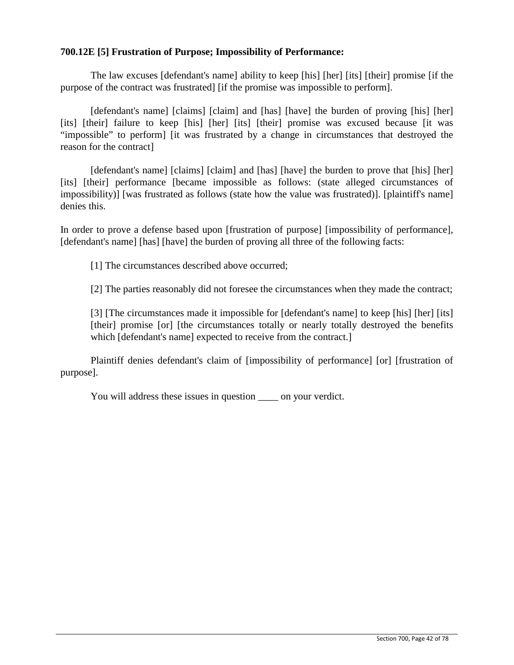## **700.12E [5] Frustration of Purpose; Impossibility of Performance:**

The law excuses [defendant's name] ability to keep [his] [her] [its] [their] promise [if the purpose of the contract was frustrated] [if the promise was impossible to perform].

[defendant's name] [claims] [claim] and [has] [have] the burden of proving [his] [her] [its] [their] failure to keep [his] [her] [its] [their] promise was excused because [it was "impossible" to perform] [it was frustrated by a change in circumstances that destroyed the reason for the contract]

[defendant's name] [claims] [claim] and [has] [have] the burden to prove that [his] [her] [its] [their] performance [became impossible as follows: (state alleged circumstances of impossibility)] [was frustrated as follows (state how the value was frustrated)]. [plaintiff's name] denies this.

In order to prove a defense based upon [frustration of purpose] [impossibility of performance], [defendant's name] [has] [have] the burden of proving all three of the following facts:

[1] The circumstances described above occurred;

[2] The parties reasonably did not foresee the circumstances when they made the contract;

[3] [The circumstances made it impossible for [defendant's name] to keep [his] [her] [its] [their] promise [or] [the circumstances totally or nearly totally destroyed the benefits which [defendant's name] expected to receive from the contract.]

Plaintiff denies defendant's claim of [impossibility of performance] [or] [frustration of purpose].

You will address these issues in question <u>seem</u> on your verdict.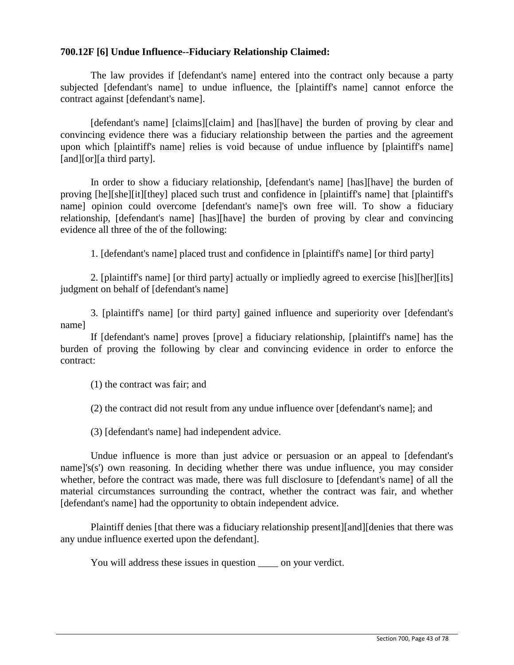## **700.12F [6] Undue Influence--Fiduciary Relationship Claimed:**

The law provides if [defendant's name] entered into the contract only because a party subjected [defendant's name] to undue influence, the [plaintiff's name] cannot enforce the contract against [defendant's name].

[defendant's name] [claims][claim] and [has][have] the burden of proving by clear and convincing evidence there was a fiduciary relationship between the parties and the agreement upon which [plaintiff's name] relies is void because of undue influence by [plaintiff's name] [and][or][a third party].

In order to show a fiduciary relationship, [defendant's name] [has][have] the burden of proving [he][she][it][they] placed such trust and confidence in [plaintiff's name] that [plaintiff's name] opinion could overcome [defendant's name]'s own free will. To show a fiduciary relationship, [defendant's name] [has][have] the burden of proving by clear and convincing evidence all three of the of the following:

1. [defendant's name] placed trust and confidence in [plaintiff's name] [or third party]

2. [plaintiff's name] [or third party] actually or impliedly agreed to exercise [his][her][its] judgment on behalf of [defendant's name]

3. [plaintiff's name] [or third party] gained influence and superiority over [defendant's name]

If [defendant's name] proves [prove] a fiduciary relationship, [plaintiff's name] has the burden of proving the following by clear and convincing evidence in order to enforce the contract:

(1) the contract was fair; and

(2) the contract did not result from any undue influence over [defendant's name]; and

(3) [defendant's name] had independent advice.

Undue influence is more than just advice or persuasion or an appeal to [defendant's name]'s(s') own reasoning. In deciding whether there was undue influence, you may consider whether, before the contract was made, there was full disclosure to [defendant's name] of all the material circumstances surrounding the contract, whether the contract was fair, and whether [defendant's name] had the opportunity to obtain independent advice.

Plaintiff denies [that there was a fiduciary relationship present][and][denies that there was any undue influence exerted upon the defendant].

You will address these issues in question \_\_\_\_ on your verdict.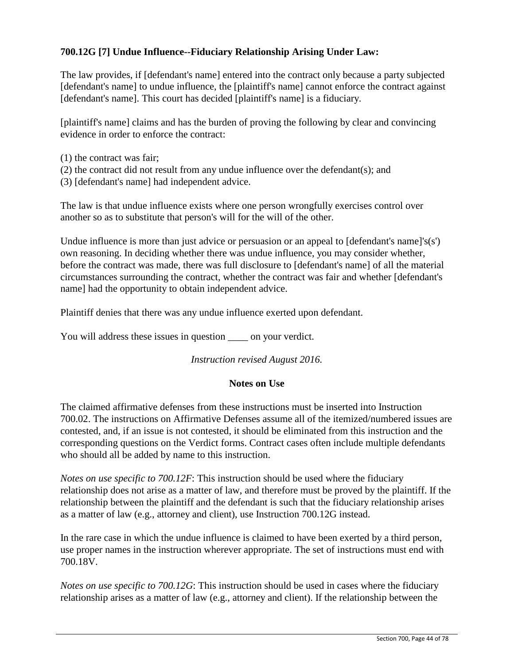## **700.12G [7] Undue Influence--Fiduciary Relationship Arising Under Law:**

The law provides, if [defendant's name] entered into the contract only because a party subjected [defendant's name] to undue influence, the [plaintiff's name] cannot enforce the contract against [defendant's name]. This court has decided [plaintiff's name] is a fiduciary.

[plaintiff's name] claims and has the burden of proving the following by clear and convincing evidence in order to enforce the contract:

- (1) the contract was fair;
- (2) the contract did not result from any undue influence over the defendant(s); and
- (3) [defendant's name] had independent advice.

The law is that undue influence exists where one person wrongfully exercises control over another so as to substitute that person's will for the will of the other.

Undue influence is more than just advice or persuasion or an appeal to  $\delta$  defendant's namel's(s') own reasoning. In deciding whether there was undue influence, you may consider whether, before the contract was made, there was full disclosure to [defendant's name] of all the material circumstances surrounding the contract, whether the contract was fair and whether [defendant's name] had the opportunity to obtain independent advice.

Plaintiff denies that there was any undue influence exerted upon defendant.

You will address these issues in question \_\_\_\_\_ on your verdict.

#### *Instruction revised August 2016.*

## **Notes on Use**

The claimed affirmative defenses from these instructions must be inserted into Instruction 700.02. The instructions on Affirmative Defenses assume all of the itemized/numbered issues are contested, and, if an issue is not contested, it should be eliminated from this instruction and the corresponding questions on the Verdict forms. Contract cases often include multiple defendants who should all be added by name to this instruction.

*Notes on use specific to 700.12F*: This instruction should be used where the fiduciary relationship does not arise as a matter of law, and therefore must be proved by the plaintiff. If the relationship between the plaintiff and the defendant is such that the fiduciary relationship arises as a matter of law (e.g., attorney and client), use Instruction 700.12G instead.

In the rare case in which the undue influence is claimed to have been exerted by a third person, use proper names in the instruction wherever appropriate. The set of instructions must end with 700.18V.

*Notes on use specific to 700.12G*: This instruction should be used in cases where the fiduciary relationship arises as a matter of law (e.g., attorney and client). If the relationship between the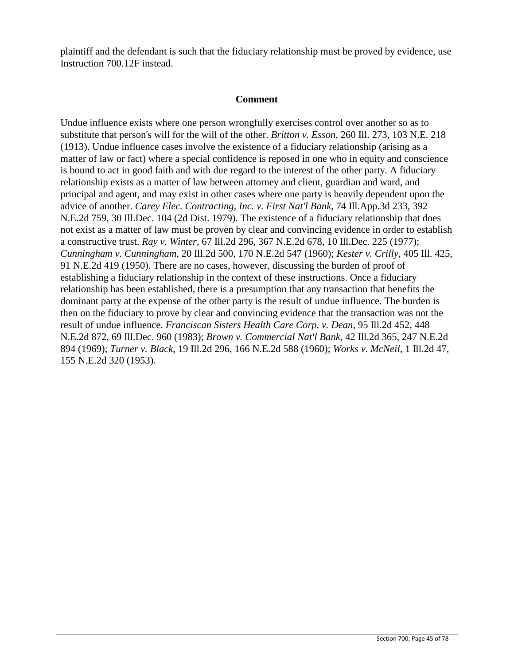plaintiff and the defendant is such that the fiduciary relationship must be proved by evidence, use Instruction 700.12F instead.

#### **Comment**

Undue influence exists where one person wrongfully exercises control over another so as to substitute that person's will for the will of the other. *Britton v. Esson*, 260 Ill. 273, 103 N.E. 218 (1913). Undue influence cases involve the existence of a fiduciary relationship (arising as a matter of law or fact) where a special confidence is reposed in one who in equity and conscience is bound to act in good faith and with due regard to the interest of the other party. A fiduciary relationship exists as a matter of law between attorney and client, guardian and ward, and principal and agent, and may exist in other cases where one party is heavily dependent upon the advice of another. *Carey Elec. Contracting, Inc. v. First Nat'l Bank*, 74 Ill.App.3d 233, 392 N.E.2d 759, 30 Ill.Dec. 104 (2d Dist. 1979). The existence of a fiduciary relationship that does not exist as a matter of law must be proven by clear and convincing evidence in order to establish a constructive trust. *Ray v. Winter*, 67 Ill.2d 296, 367 N.E.2d 678, 10 Ill.Dec. 225 (1977); *Cunningham v. Cunningham*, 20 Ill.2d 500, 170 N.E.2d 547 (1960); *Kester v. Crilly*, 405 Ill. 425, 91 N.E.2d 419 (1950). There are no cases, however, discussing the burden of proof of establishing a fiduciary relationship in the context of these instructions. Once a fiduciary relationship has been established, there is a presumption that any transaction that benefits the dominant party at the expense of the other party is the result of undue influence. The burden is then on the fiduciary to prove by clear and convincing evidence that the transaction was not the result of undue influence. *Franciscan Sisters Health Care Corp. v. Dean*, 95 Ill.2d 452, 448 N.E.2d 872, 69 Ill.Dec. 960 (1983); *Brown v. Commercial Nat'l Bank*, 42 Ill.2d 365, 247 N.E.2d 894 (1969); *Turner v. Black*, 19 Ill.2d 296, 166 N.E.2d 588 (1960); *Works v. McNeil*, 1 Ill.2d 47, 155 N.E.2d 320 (1953).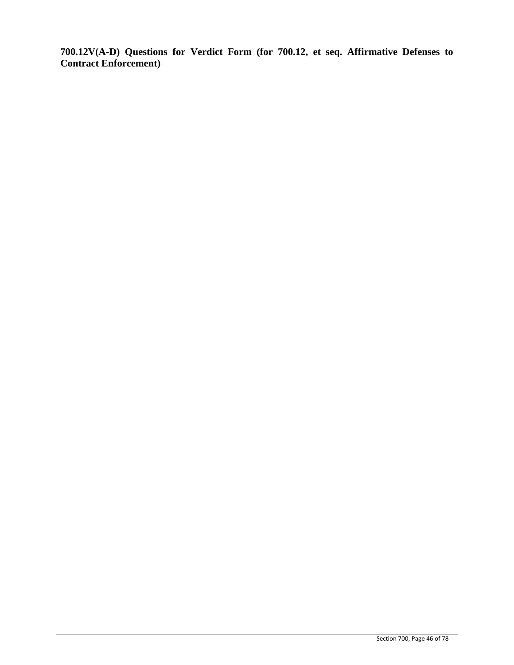**700.12V(A-D) Questions for Verdict Form (for 700.12, et seq. Affirmative Defenses to Contract Enforcement)**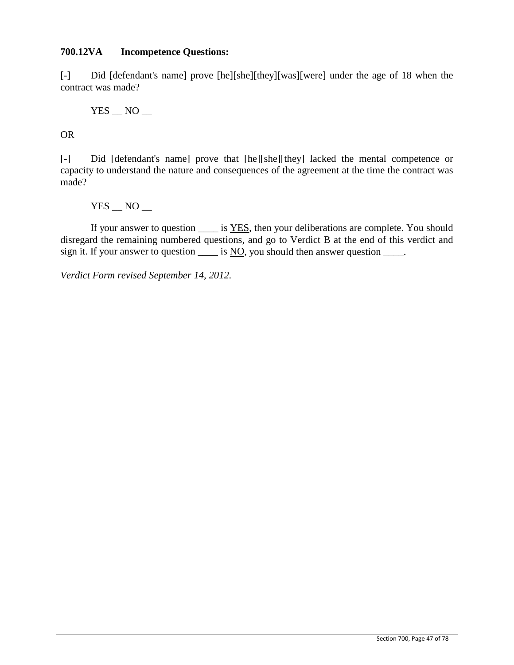## **700.12VA Incompetence Questions:**

[-] Did [defendant's name] prove [he][she][they][was][were] under the age of 18 when the contract was made?

 $YES$   $NO$   $-$ 

OR

[-] Did [defendant's name] prove that [he][she][they] lacked the mental competence or capacity to understand the nature and consequences of the agreement at the time the contract was made?

 $YES$   $NO$   $-$ 

If your answer to question is YES, then your deliberations are complete. You should disregard the remaining numbered questions, and go to Verdict B at the end of this verdict and sign it. If your answer to question  $\frac{1}{\sqrt{1-\frac{1}{n}}}$  is NO, you should then answer question  $\frac{1}{\sqrt{1-\frac{1}{n}}}$ .

*Verdict Form revised September 14, 2012.*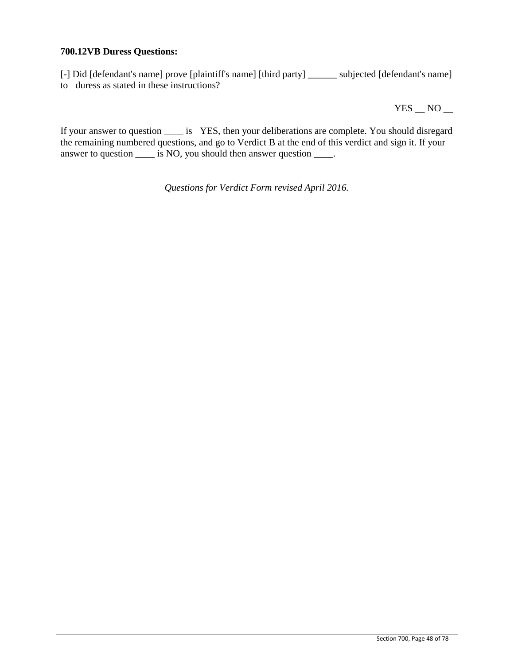#### **700.12VB Duress Questions:**

[-] Did [defendant's name] prove [plaintiff's name] [third party] \_\_\_\_\_\_ subjected [defendant's name] to duress as stated in these instructions?

 $YES$   $NO$   $-$ 

If your answer to question \_\_\_\_ is YES, then your deliberations are complete. You should disregard the remaining numbered questions, and go to Verdict B at the end of this verdict and sign it. If your answer to question \_\_\_\_\_ is NO, you should then answer question \_\_\_\_.

*Questions for Verdict Form revised April 2016.*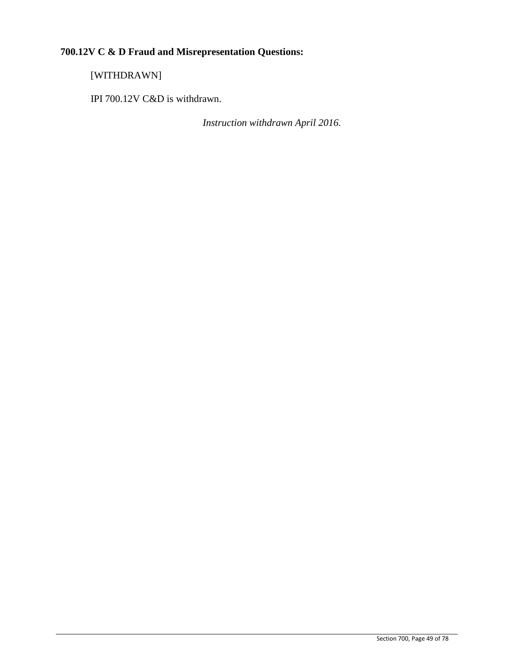# **700.12V C & D Fraud and Misrepresentation Questions:**

[WITHDRAWN]

IPI 700.12V C&D is withdrawn.

*Instruction withdrawn April 2016.*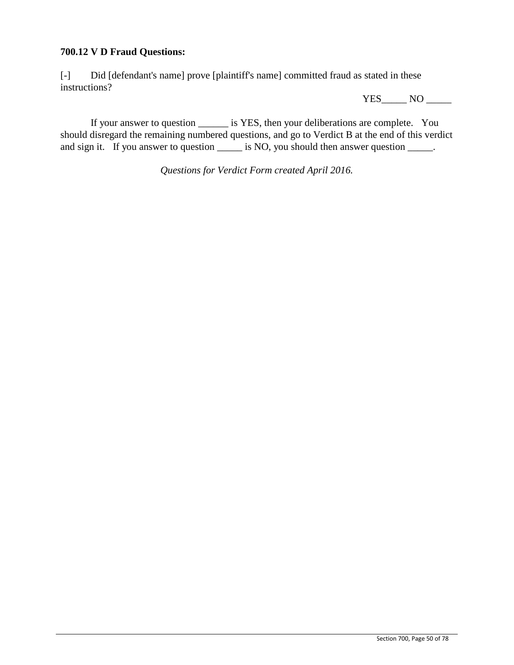## **700.12 V D Fraud Questions:**

[-] Did [defendant's name] prove [plaintiff's name] committed fraud as stated in these instructions?

YES\_\_\_\_\_\_ NO \_\_\_\_\_\_

If your answer to question \_\_\_\_\_\_ is YES, then your deliberations are complete. You should disregard the remaining numbered questions, and go to Verdict B at the end of this verdict and sign it. If you answer to question \_\_\_\_\_\_ is NO, you should then answer question \_\_\_\_\_.

*Questions for Verdict Form created April 2016.*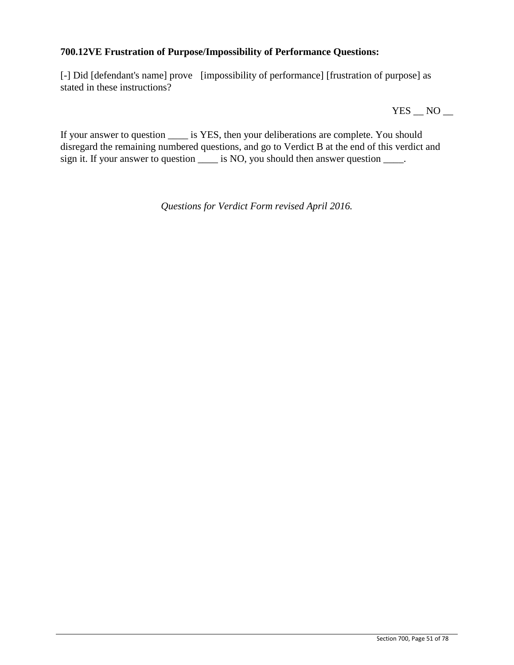## **700.12VE Frustration of Purpose/Impossibility of Performance Questions:**

[-] Did [defendant's name] prove [impossibility of performance] [frustration of purpose] as stated in these instructions?

 $YES$   $NO$   $-$ 

If your answer to question \_\_\_\_ is YES, then your deliberations are complete. You should disregard the remaining numbered questions, and go to Verdict B at the end of this verdict and sign it. If your answer to question \_\_\_\_\_ is NO, you should then answer question \_\_\_\_.

*Questions for Verdict Form revised April 2016.*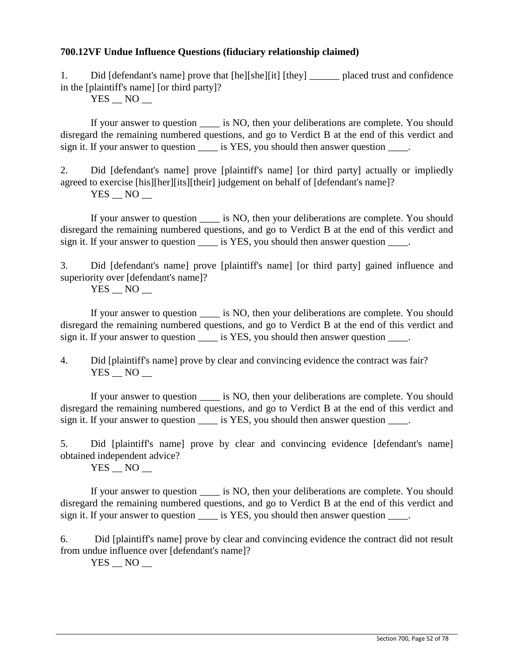## **700.12VF Undue Influence Questions (fiduciary relationship claimed)**

1. Did [defendant's name] prove that [he][she][it] [they] placed trust and confidence in the [plaintiff's name] [or third party]?

 $YES$   $NO$   $-$ 

If your answer to question  $\qquad$  is NO, then your deliberations are complete. You should disregard the remaining numbered questions, and go to Verdict B at the end of this verdict and sign it. If your answer to question is YES, you should then answer question  $\blacksquare$ .

2. Did [defendant's name] prove [plaintiff's name] [or third party] actually or impliedly agreed to exercise [his][her][its][their] judgement on behalf of [defendant's name]?  $YES$   $NO$   $-$ 

If your answer to question is NO, then your deliberations are complete. You should disregard the remaining numbered questions, and go to Verdict B at the end of this verdict and sign it. If your answer to question is YES, you should then answer question  $\blacksquare$ .

3. Did [defendant's name] prove [plaintiff's name] [or third party] gained influence and superiority over [defendant's name]?

 $YES$   $NO$   $-$ 

If your answer to question \_\_\_\_ is NO, then your deliberations are complete. You should disregard the remaining numbered questions, and go to Verdict B at the end of this verdict and sign it. If your answer to question \_\_\_\_\_ is YES, you should then answer question \_\_\_\_.

4. Did [plaintiff's name] prove by clear and convincing evidence the contract was fair?  $YES$   $\_$  NO  $\_$ 

If your answer to question \_\_\_\_ is NO, then your deliberations are complete. You should disregard the remaining numbered questions, and go to Verdict B at the end of this verdict and sign it. If your answer to question \_\_\_\_\_ is YES, you should then answer question \_\_\_\_\_.

5. Did [plaintiff's name] prove by clear and convincing evidence [defendant's name] obtained independent advice?

YES NO

If your answer to question \_\_\_\_ is NO, then your deliberations are complete. You should disregard the remaining numbered questions, and go to Verdict B at the end of this verdict and sign it. If your answer to question \_\_\_\_\_ is YES, you should then answer question \_\_\_\_\_.

6. Did [plaintiff's name] prove by clear and convincing evidence the contract did not result from undue influence over [defendant's name]?

 $YES$   $NO$   $-$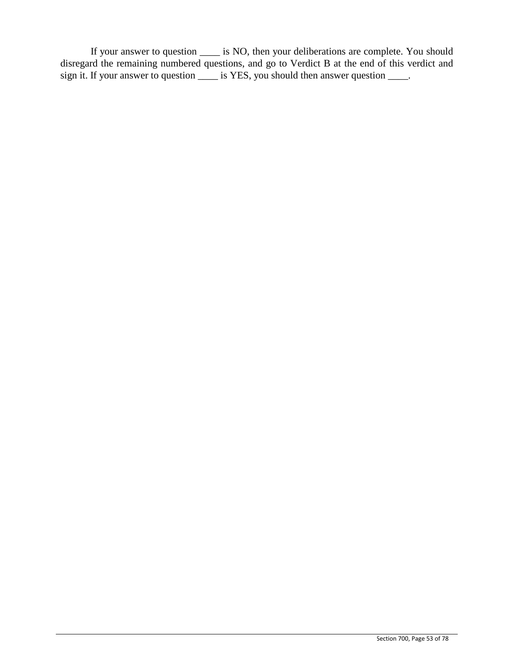If your answer to question \_\_\_\_ is NO, then your deliberations are complete. You should disregard the remaining numbered questions, and go to Verdict B at the end of this verdict and sign it. If your answer to question \_\_\_\_\_ is YES, you should then answer question \_\_\_\_.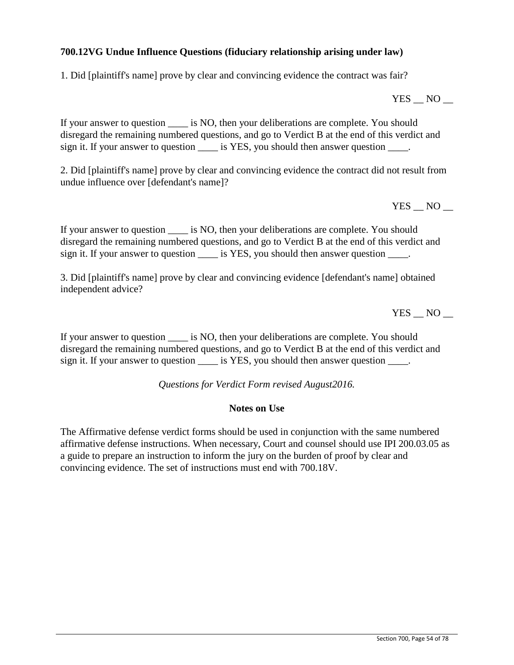## **700.12VG Undue Influence Questions (fiduciary relationship arising under law)**

1. Did [plaintiff's name] prove by clear and convincing evidence the contract was fair?

 $YES$   $NO$   $-$ 

If your answer to question is NO, then your deliberations are complete. You should disregard the remaining numbered questions, and go to Verdict B at the end of this verdict and sign it. If your answer to question \_\_\_\_\_ is YES, you should then answer question \_\_\_\_.

2. Did [plaintiff's name] prove by clear and convincing evidence the contract did not result from undue influence over [defendant's name]?

YES NO

If your answer to question is NO, then your deliberations are complete. You should disregard the remaining numbered questions, and go to Verdict B at the end of this verdict and sign it. If your answer to question \_\_\_\_\_ is YES, you should then answer question \_\_\_\_.

3. Did [plaintiff's name] prove by clear and convincing evidence [defendant's name] obtained independent advice?

YES NO

If your answer to question \_\_\_\_ is NO, then your deliberations are complete. You should disregard the remaining numbered questions, and go to Verdict B at the end of this verdict and sign it. If your answer to question is YES, you should then answer question  $\blacksquare$ .

*Questions for Verdict Form revised August2016.*

#### **Notes on Use**

The Affirmative defense verdict forms should be used in conjunction with the same numbered affirmative defense instructions. When necessary, Court and counsel should use IPI 200.03.05 as a guide to prepare an instruction to inform the jury on the burden of proof by clear and convincing evidence. The set of instructions must end with 700.18V.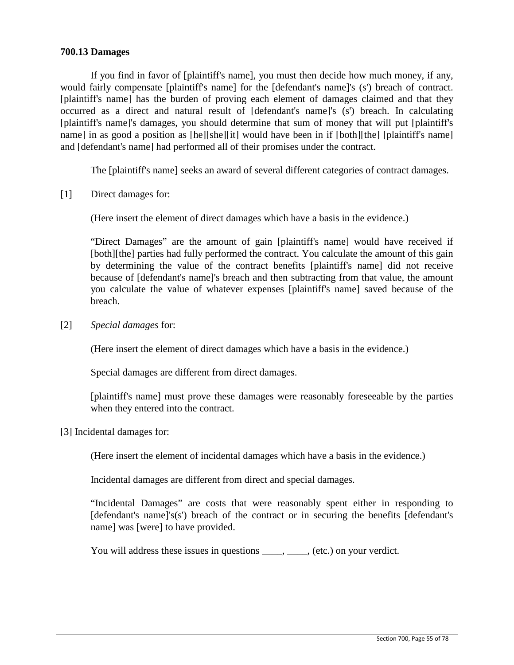#### **700.13 Damages**

If you find in favor of [plaintiff's name], you must then decide how much money, if any, would fairly compensate [plaintiff's name] for the [defendant's name]'s (s') breach of contract. [plaintiff's name] has the burden of proving each element of damages claimed and that they occurred as a direct and natural result of [defendant's name]'s (s') breach. In calculating [plaintiff's name]'s damages, you should determine that sum of money that will put [plaintiff's name] in as good a position as [he][she][it] would have been in if [both][the] [plaintiff's name] and [defendant's name] had performed all of their promises under the contract.

The [plaintiff's name] seeks an award of several different categories of contract damages.

[1] Direct damages for:

(Here insert the element of direct damages which have a basis in the evidence.)

"Direct Damages" are the amount of gain [plaintiff's name] would have received if [both][the] parties had fully performed the contract. You calculate the amount of this gain by determining the value of the contract benefits [plaintiff's name] did not receive because of [defendant's name]'s breach and then subtracting from that value, the amount you calculate the value of whatever expenses [plaintiff's name] saved because of the breach.

[2] *Special damages* for:

(Here insert the element of direct damages which have a basis in the evidence.)

Special damages are different from direct damages.

[plaintiff's name] must prove these damages were reasonably foreseeable by the parties when they entered into the contract.

[3] Incidental damages for:

(Here insert the element of incidental damages which have a basis in the evidence.)

Incidental damages are different from direct and special damages.

"Incidental Damages" are costs that were reasonably spent either in responding to [defendant's name]'s(s') breach of the contract or in securing the benefits [defendant's name] was [were] to have provided.

You will address these issues in questions \_\_\_\_, \_\_\_\_, (etc.) on your verdict.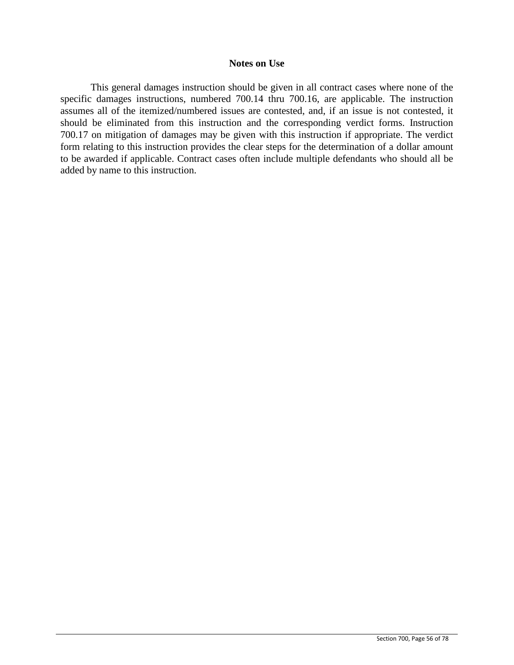#### **Notes on Use**

This general damages instruction should be given in all contract cases where none of the specific damages instructions, numbered 700.14 thru 700.16, are applicable. The instruction assumes all of the itemized/numbered issues are contested, and, if an issue is not contested, it should be eliminated from this instruction and the corresponding verdict forms. Instruction 700.17 on mitigation of damages may be given with this instruction if appropriate. The verdict form relating to this instruction provides the clear steps for the determination of a dollar amount to be awarded if applicable. Contract cases often include multiple defendants who should all be added by name to this instruction.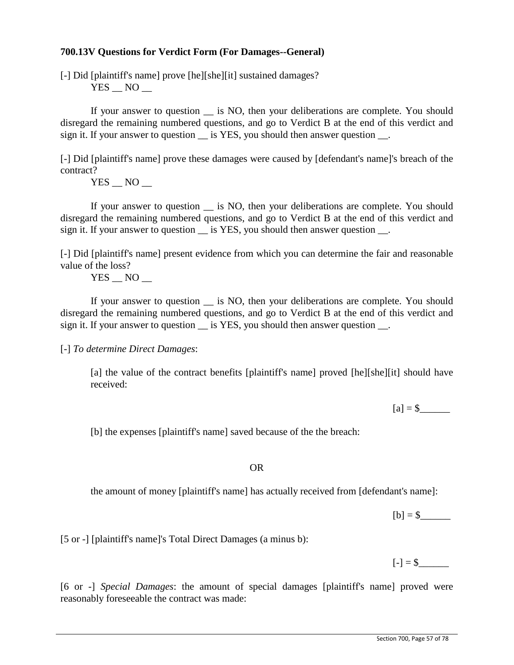#### **700.13V Questions for Verdict Form (For Damages--General)**

[-] Did [plaintiff's name] prove [he][she][it] sustained damages?  $YES$   $NO$   $-$ 

If your answer to question \_\_ is NO, then your deliberations are complete. You should disregard the remaining numbered questions, and go to Verdict B at the end of this verdict and sign it. If your answer to question  $\overline{\phantom{a}}$  is YES, you should then answer question  $\overline{\phantom{a}}$ .

[-] Did [plaintiff's name] prove these damages were caused by [defendant's name]'s breach of the contract?

 $YES$   $NO$   $-$ 

If your answer to question is NO, then your deliberations are complete. You should disregard the remaining numbered questions, and go to Verdict B at the end of this verdict and sign it. If your answer to question is YES, you should then answer question.

[-] Did [plaintiff's name] present evidence from which you can determine the fair and reasonable value of the loss?

YES NO

If your answer to question \_\_ is NO, then your deliberations are complete. You should disregard the remaining numbered questions, and go to Verdict B at the end of this verdict and sign it. If your answer to question is YES, you should then answer question.

[-] *To determine Direct Damages*:

[a] the value of the contract benefits [plaintiff's name] proved [he][she][it] should have received:

 $[a] = $$ 

[b] the expenses [plaintiff's name] saved because of the the breach:

#### OR

the amount of money [plaintiff's name] has actually received from [defendant's name]:

 $[b] = $$ 

 $[-] = $$ 

[5 or -] [plaintiff's name]'s Total Direct Damages (a minus b):

[6 or -] *Special Damages*: the amount of special damages [plaintiff's name] proved were reasonably foreseeable the contract was made: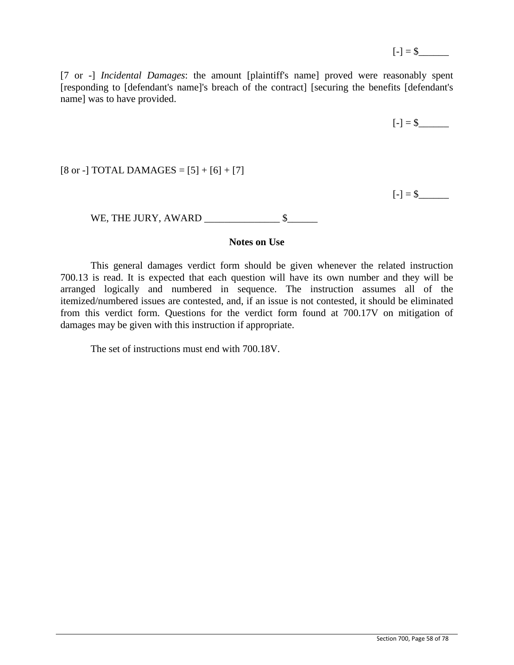[7 or -] *Incidental Damages*: the amount [plaintiff's name] proved were reasonably spent [responding to [defendant's name]'s breach of the contract] [securing the benefits [defendant's name] was to have provided.

$$
[-] = $ \_
$$

 $[8 \text{ or } -]$  TOTAL DAMAGES =  $[5] + [6] + [7]$ 

 $[-] = $$ 

WE, THE JURY, AWARD  $\_\_\_\_\_\_\_\_\_\_\_\_\_\$ \$

## **Notes on Use**

This general damages verdict form should be given whenever the related instruction 700.13 is read. It is expected that each question will have its own number and they will be arranged logically and numbered in sequence. The instruction assumes all of the itemized/numbered issues are contested, and, if an issue is not contested, it should be eliminated from this verdict form. Questions for the verdict form found at 700.17V on mitigation of damages may be given with this instruction if appropriate.

The set of instructions must end with 700.18V.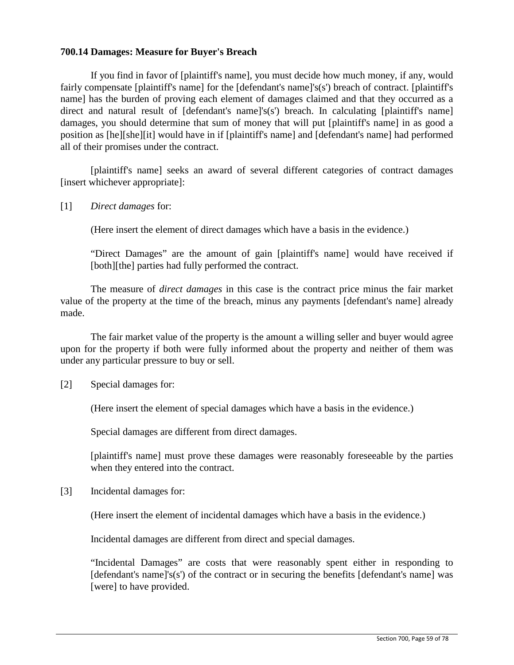## **700.14 Damages: Measure for Buyer's Breach**

If you find in favor of [plaintiff's name], you must decide how much money, if any, would fairly compensate [plaintiff's name] for the [defendant's name]'s(s') breach of contract. [plaintiff's name] has the burden of proving each element of damages claimed and that they occurred as a direct and natural result of [defendant's name]'s(s') breach. In calculating [plaintiff's name] damages, you should determine that sum of money that will put [plaintiff's name] in as good a position as [he][she][it] would have in if [plaintiff's name] and [defendant's name] had performed all of their promises under the contract.

[plaintiff's name] seeks an award of several different categories of contract damages [insert whichever appropriate]:

[1] *Direct damages* for:

(Here insert the element of direct damages which have a basis in the evidence.)

"Direct Damages" are the amount of gain [plaintiff's name] would have received if [both][the] parties had fully performed the contract.

The measure of *direct damages* in this case is the contract price minus the fair market value of the property at the time of the breach, minus any payments [defendant's name] already made.

The fair market value of the property is the amount a willing seller and buyer would agree upon for the property if both were fully informed about the property and neither of them was under any particular pressure to buy or sell.

[2] Special damages for:

(Here insert the element of special damages which have a basis in the evidence.)

Special damages are different from direct damages.

[plaintiff's name] must prove these damages were reasonably foreseeable by the parties when they entered into the contract.

[3] Incidental damages for:

(Here insert the element of incidental damages which have a basis in the evidence.)

Incidental damages are different from direct and special damages.

"Incidental Damages" are costs that were reasonably spent either in responding to [defendant's name]'s(s') of the contract or in securing the benefits [defendant's name] was [were] to have provided.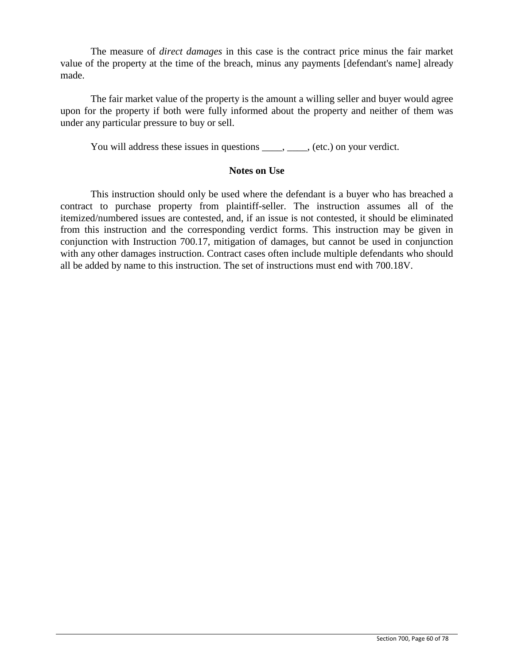The measure of *direct damages* in this case is the contract price minus the fair market value of the property at the time of the breach, minus any payments [defendant's name] already made.

The fair market value of the property is the amount a willing seller and buyer would agree upon for the property if both were fully informed about the property and neither of them was under any particular pressure to buy or sell.

You will address these issues in questions \_\_\_\_, \_\_\_\_, (etc.) on your verdict.

#### **Notes on Use**

This instruction should only be used where the defendant is a buyer who has breached a contract to purchase property from plaintiff-seller. The instruction assumes all of the itemized/numbered issues are contested, and, if an issue is not contested, it should be eliminated from this instruction and the corresponding verdict forms. This instruction may be given in conjunction with Instruction 700.17, mitigation of damages, but cannot be used in conjunction with any other damages instruction. Contract cases often include multiple defendants who should all be added by name to this instruction. The set of instructions must end with 700.18V.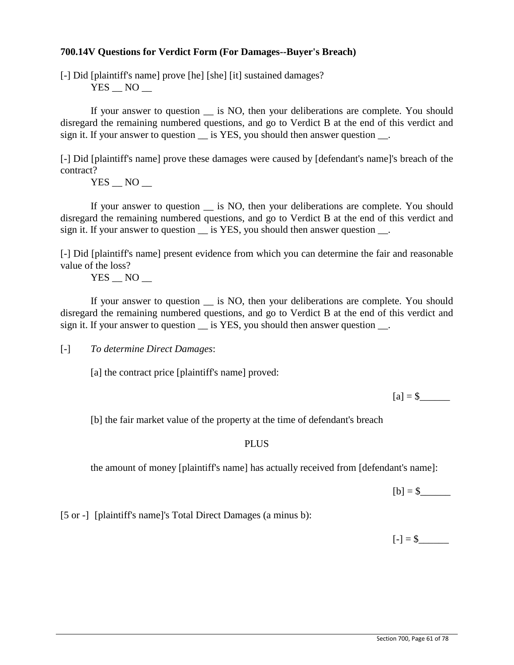## **700.14V Questions for Verdict Form (For Damages--Buyer's Breach)**

[-] Did [plaintiff's name] prove [he] [she] [it] sustained damages?  $YES$   $NO$   $-$ 

If your answer to question \_\_ is NO, then your deliberations are complete. You should disregard the remaining numbered questions, and go to Verdict B at the end of this verdict and sign it. If your answer to question is YES, you should then answer question  $\blacksquare$ .

[-] Did [plaintiff's name] prove these damages were caused by [defendant's name]'s breach of the contract?

 $YES$   $NO$   $-$ 

If your answer to question is NO, then your deliberations are complete. You should disregard the remaining numbered questions, and go to Verdict B at the end of this verdict and sign it. If your answer to question is YES, you should then answer question.

[-] Did [plaintiff's name] present evidence from which you can determine the fair and reasonable value of the loss?

YES NO

If your answer to question \_\_ is NO, then your deliberations are complete. You should disregard the remaining numbered questions, and go to Verdict B at the end of this verdict and sign it. If your answer to question is YES, you should then answer question.

[-] *To determine Direct Damages*:

[a] the contract price [plaintiff's name] proved:

 $[a] = $$ 

[b] the fair market value of the property at the time of defendant's breach

#### PLUS

the amount of money [plaintiff's name] has actually received from [defendant's name]:

 $[b] = $$ 

 $[-] = $$ 

[5 or -] [plaintiff's name]'s Total Direct Damages (a minus b):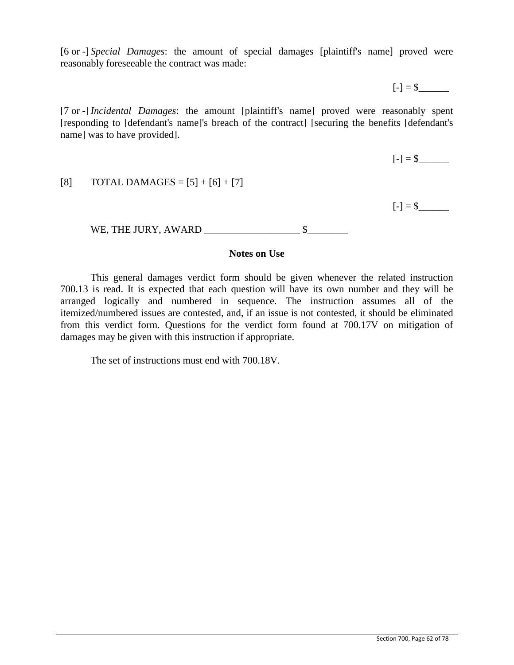[6 or -] *Special Damages*: the amount of special damages [plaintiff's name] proved were reasonably foreseeable the contract was made:

 $[-] = $$ 

[7 or -] *Incidental Damages*: the amount [plaintiff's name] proved were reasonably spent [responding to [defendant's name]'s breach of the contract] [securing the benefits [defendant's name] was to have provided].

 $[-] = $$ 

 $[-] = $$ 

WE, THE JURY, AWARD \_\_\_\_\_\_\_\_\_\_\_\_\_\_\_\_\_\_\_ \$\_\_\_\_\_\_\_\_

## **Notes on Use**

This general damages verdict form should be given whenever the related instruction 700.13 is read. It is expected that each question will have its own number and they will be arranged logically and numbered in sequence. The instruction assumes all of the itemized/numbered issues are contested, and, if an issue is not contested, it should be eliminated from this verdict form. Questions for the verdict form found at 700.17V on mitigation of damages may be given with this instruction if appropriate.

The set of instructions must end with 700.18V.

[8] TOTAL DAMAGES =  $[5] + [6] + [7]$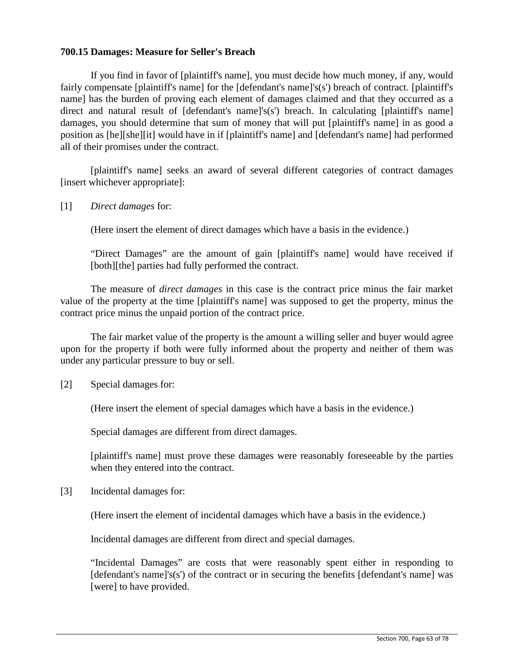#### **700.15 Damages: Measure for Seller's Breach**

If you find in favor of [plaintiff's name], you must decide how much money, if any, would fairly compensate [plaintiff's name] for the [defendant's name]'s(s') breach of contract. [plaintiff's name] has the burden of proving each element of damages claimed and that they occurred as a direct and natural result of [defendant's name]'s(s') breach. In calculating [plaintiff's name] damages, you should determine that sum of money that will put [plaintiff's name] in as good a position as [he][she][it] would have in if [plaintiff's name] and [defendant's name] had performed all of their promises under the contract.

[plaintiff's name] seeks an award of several different categories of contract damages [insert whichever appropriate]:

[1] *Direct damages* for:

(Here insert the element of direct damages which have a basis in the evidence.)

"Direct Damages" are the amount of gain [plaintiff's name] would have received if [both][the] parties had fully performed the contract.

The measure of *direct damages* in this case is the contract price minus the fair market value of the property at the time [plaintiff's name] was supposed to get the property, minus the contract price minus the unpaid portion of the contract price.

The fair market value of the property is the amount a willing seller and buyer would agree upon for the property if both were fully informed about the property and neither of them was under any particular pressure to buy or sell.

[2] Special damages for:

(Here insert the element of special damages which have a basis in the evidence.)

Special damages are different from direct damages.

[plaintiff's name] must prove these damages were reasonably foreseeable by the parties when they entered into the contract.

[3] Incidental damages for:

(Here insert the element of incidental damages which have a basis in the evidence.)

Incidental damages are different from direct and special damages.

"Incidental Damages" are costs that were reasonably spent either in responding to [defendant's name]'s(s') of the contract or in securing the benefits [defendant's name] was [were] to have provided.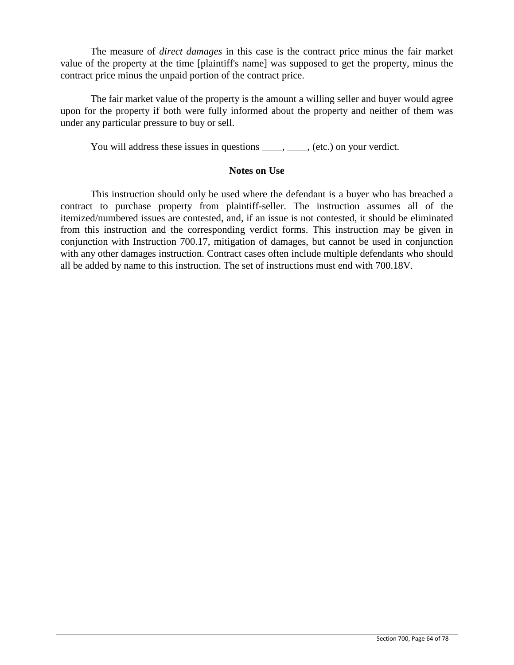The measure of *direct damages* in this case is the contract price minus the fair market value of the property at the time [plaintiff's name] was supposed to get the property, minus the contract price minus the unpaid portion of the contract price.

The fair market value of the property is the amount a willing seller and buyer would agree upon for the property if both were fully informed about the property and neither of them was under any particular pressure to buy or sell.

You will address these issues in questions \_\_\_\_, \_\_\_\_, (etc.) on your verdict.

#### **Notes on Use**

This instruction should only be used where the defendant is a buyer who has breached a contract to purchase property from plaintiff-seller. The instruction assumes all of the itemized/numbered issues are contested, and, if an issue is not contested, it should be eliminated from this instruction and the corresponding verdict forms. This instruction may be given in conjunction with Instruction 700.17, mitigation of damages, but cannot be used in conjunction with any other damages instruction. Contract cases often include multiple defendants who should all be added by name to this instruction. The set of instructions must end with 700.18V.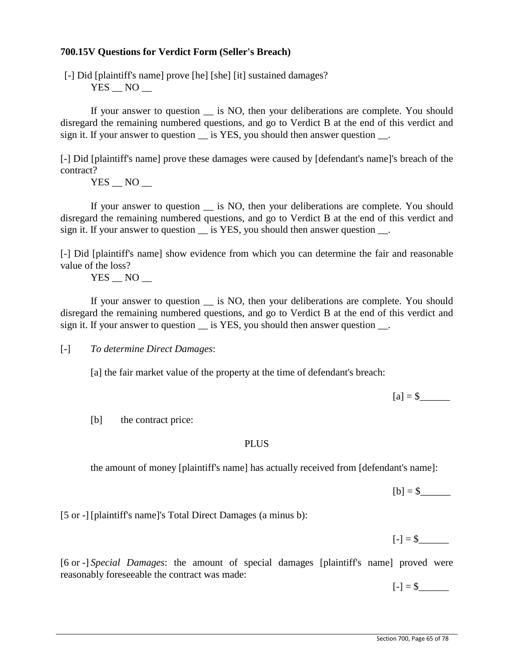#### **700.15V Questions for Verdict Form (Seller's Breach)**

[-] Did [plaintiff's name] prove [he] [she] [it] sustained damages?  $YES$   $NO$   $-$ 

If your answer to question \_\_ is NO, then your deliberations are complete. You should disregard the remaining numbered questions, and go to Verdict B at the end of this verdict and sign it. If your answer to question is YES, you should then answer question  $\blacksquare$ .

[-] Did [plaintiff's name] prove these damages were caused by [defendant's name]'s breach of the contract?

 $YES$   $NO$   $-$ 

If your answer to question is NO, then your deliberations are complete. You should disregard the remaining numbered questions, and go to Verdict B at the end of this verdict and sign it. If your answer to question is YES, you should then answer question.

[-] Did [plaintiff's name] show evidence from which you can determine the fair and reasonable value of the loss?

YES NO

If your answer to question \_\_ is NO, then your deliberations are complete. You should disregard the remaining numbered questions, and go to Verdict B at the end of this verdict and sign it. If your answer to question is YES, you should then answer question.

[-] *To determine Direct Damages*:

[a] the fair market value of the property at the time of defendant's breach:

 $[a] = $$ 

[b] the contract price:

#### **PLUS**

the amount of money [plaintiff's name] has actually received from [defendant's name]:

 $[b] = $$ 

[5 or -] [plaintiff's name]'s Total Direct Damages (a minus b):

 $[-] = $$ 

[6 or -] *Special Damages*: the amount of special damages [plaintiff's name] proved were reasonably foreseeable the contract was made:

 $[-] = $$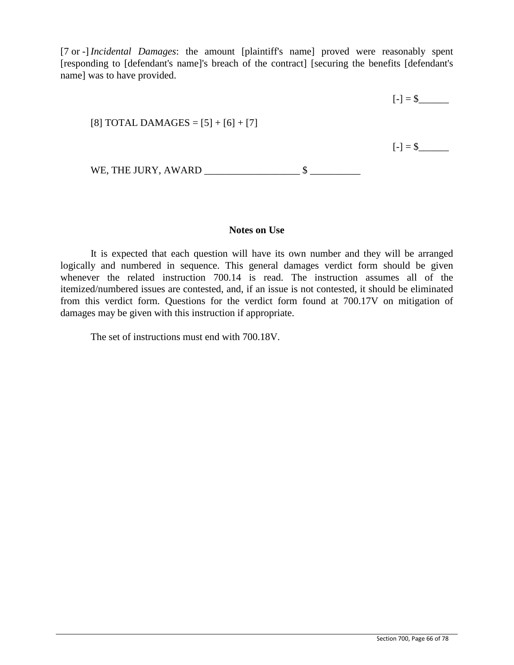[7 or -] *Incidental Damages*: the amount [plaintiff's name] proved were reasonably spent [responding to [defendant's name]'s breach of the contract] [securing the benefits [defendant's name] was to have provided.

|                                       | $[-] = $$ |
|---------------------------------------|-----------|
| [8] TOTAL DAMAGES = $[5] + [6] + [7]$ |           |
|                                       | $[-] = $$ |
| WE, THE JURY, AWARD                   |           |

#### **Notes on Use**

It is expected that each question will have its own number and they will be arranged logically and numbered in sequence. This general damages verdict form should be given whenever the related instruction 700.14 is read. The instruction assumes all of the itemized/numbered issues are contested, and, if an issue is not contested, it should be eliminated from this verdict form. Questions for the verdict form found at 700.17V on mitigation of damages may be given with this instruction if appropriate.

The set of instructions must end with 700.18V.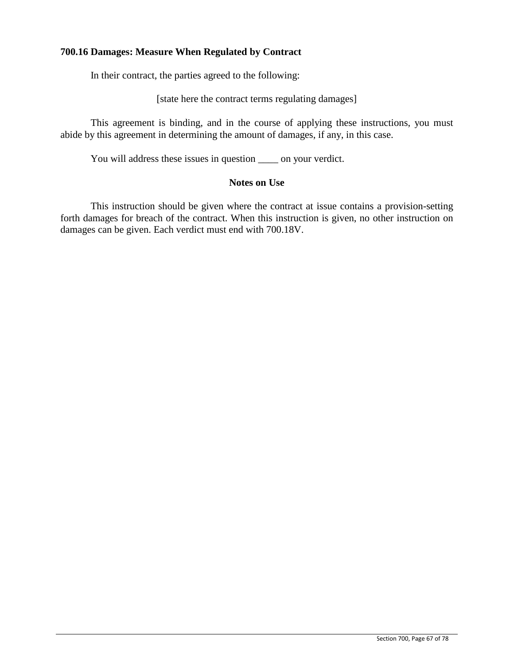## **700.16 Damages: Measure When Regulated by Contract**

In their contract, the parties agreed to the following:

[state here the contract terms regulating damages]

This agreement is binding, and in the course of applying these instructions, you must abide by this agreement in determining the amount of damages, if any, in this case.

You will address these issues in question \_\_\_\_ on your verdict.

#### **Notes on Use**

This instruction should be given where the contract at issue contains a provision-setting forth damages for breach of the contract. When this instruction is given, no other instruction on damages can be given. Each verdict must end with 700.18V.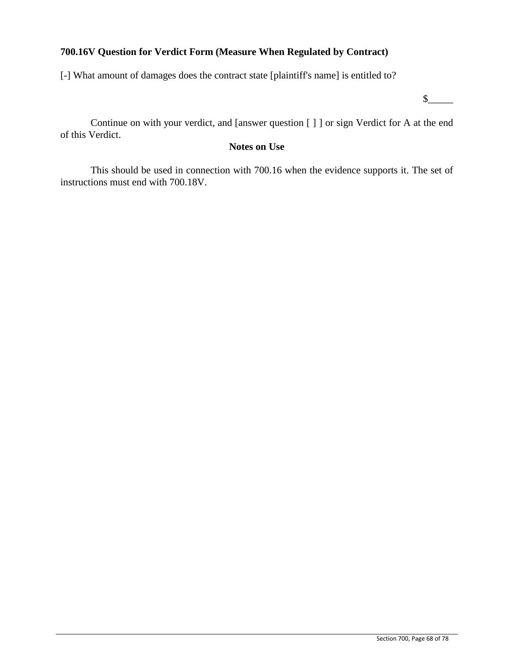## **700.16V Question for Verdict Form (Measure When Regulated by Contract)**

[-] What amount of damages does the contract state [plaintiff's name] is entitled to?

 $s$ 

Continue on with your verdict, and [answer question [ ] ] or sign Verdict for A at the end of this Verdict.

## **Notes on Use**

This should be used in connection with 700.16 when the evidence supports it. The set of instructions must end with 700.18V.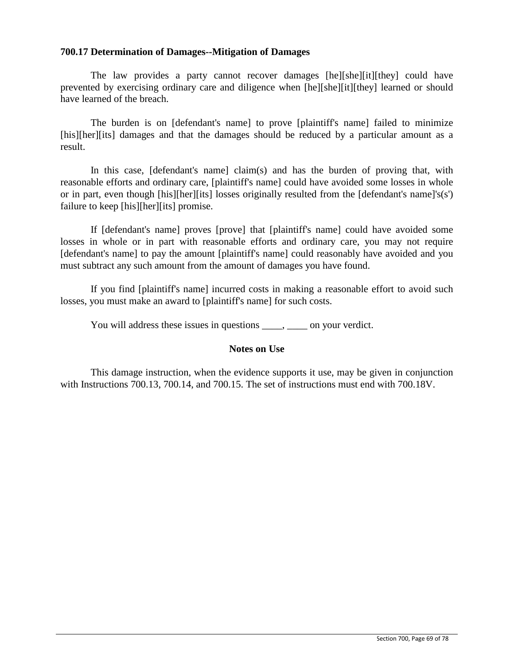#### **700.17 Determination of Damages--Mitigation of Damages**

The law provides a party cannot recover damages [he][she][it][they] could have prevented by exercising ordinary care and diligence when [he][she][it][they] learned or should have learned of the breach.

The burden is on [defendant's name] to prove [plaintiff's name] failed to minimize [his][her][its] damages and that the damages should be reduced by a particular amount as a result.

In this case,  $[defendant's name] claim(s)$  and has the burden of proving that, with reasonable efforts and ordinary care, [plaintiff's name] could have avoided some losses in whole or in part, even though [his][her][its] losses originally resulted from the [defendant's name]'s(s') failure to keep [his][her][its] promise.

If [defendant's name] proves [prove] that [plaintiff's name] could have avoided some losses in whole or in part with reasonable efforts and ordinary care, you may not require [defendant's name] to pay the amount [plaintiff's name] could reasonably have avoided and you must subtract any such amount from the amount of damages you have found.

If you find [plaintiff's name] incurred costs in making a reasonable effort to avoid such losses, you must make an award to [plaintiff's name] for such costs.

You will address these issues in questions  $\qquad \qquad$  on your verdict.

#### **Notes on Use**

This damage instruction, when the evidence supports it use, may be given in conjunction with Instructions 700.13, 700.14, and 700.15. The set of instructions must end with 700.18V.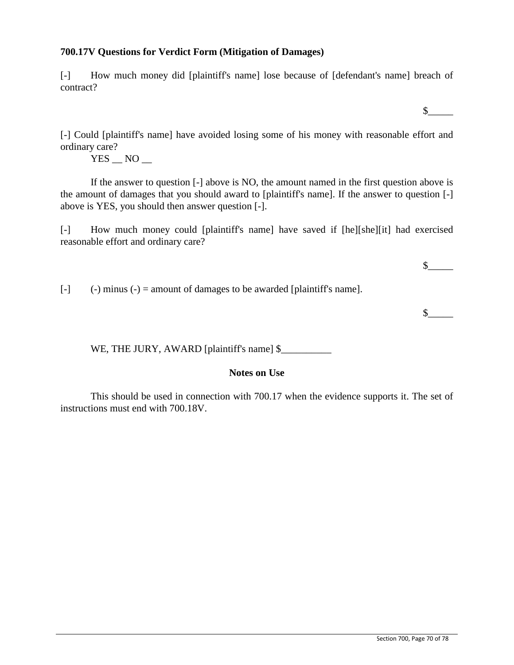## **700.17V Questions for Verdict Form (Mitigation of Damages)**

[-] How much money did [plaintiff's name] lose because of [defendant's name] breach of contract?

 $\mathbb S$ 

[-] Could [plaintiff's name] have avoided losing some of his money with reasonable effort and ordinary care?

YES NO

If the answer to question [-] above is NO, the amount named in the first question above is the amount of damages that you should award to [plaintiff's name]. If the answer to question [-] above is YES, you should then answer question [-].

[-] How much money could [plaintiff's name] have saved if [he][she][it] had exercised reasonable effort and ordinary care?

 $[-]$  (-) minus (-) = amount of damages to be awarded [plaintiff's name].

 $\mathbb S$ 

 $\frac{1}{2}$ 

WE, THE JURY, AWARD [plaintiff's name] \$

## **Notes on Use**

This should be used in connection with 700.17 when the evidence supports it. The set of instructions must end with 700.18V.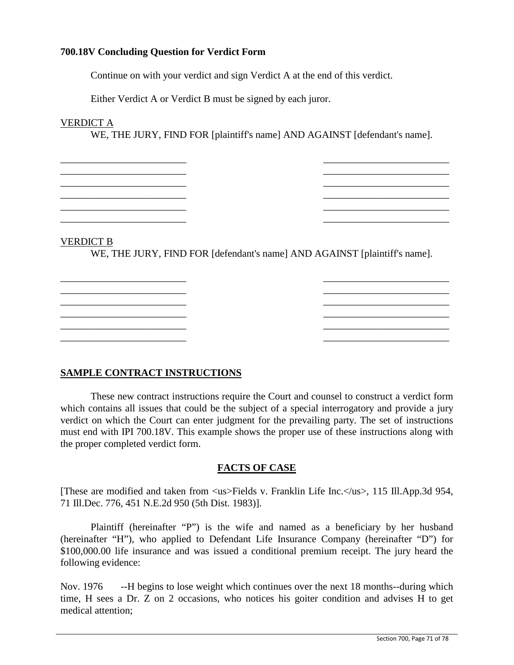## **700.18V Concluding Question for Verdict Form**

Continue on with your verdict and sign Verdict A at the end of this verdict.

Either Verdict A or Verdict B must be signed by each juror.

## VERDICT A

WE, THE JURY, FIND FOR [plaintiff's name] AND AGAINST [defendant's name].

\_\_\_\_\_\_\_\_\_\_\_\_\_\_\_\_\_\_\_\_\_\_\_\_\_ \_\_\_\_\_\_\_\_\_\_\_\_\_\_\_\_\_\_\_\_\_\_\_\_\_ \_\_\_\_\_\_\_\_\_\_\_\_\_\_\_\_\_\_\_\_\_\_\_\_\_ \_\_\_\_\_\_\_\_\_\_\_\_\_\_\_\_\_\_\_\_\_\_\_\_\_ \_\_\_\_\_\_\_\_\_\_\_\_\_\_\_\_\_\_\_\_\_\_\_\_\_ \_\_\_\_\_\_\_\_\_\_\_\_\_\_\_\_\_\_\_\_\_\_\_\_\_

\_\_\_\_\_\_\_\_\_\_\_\_\_\_\_\_\_\_\_\_\_\_\_\_\_ \_\_\_\_\_\_\_\_\_\_\_\_\_\_\_\_\_\_\_\_\_\_\_\_\_ \_\_\_\_\_\_\_\_\_\_\_\_\_\_\_\_\_\_\_\_\_\_\_\_\_ \_\_\_\_\_\_\_\_\_\_\_\_\_\_\_\_\_\_\_\_\_\_\_\_\_

VERDICT B

WE, THE JURY, FIND FOR [defendant's name] AND AGAINST [plaintiff's name].

\_\_\_\_\_\_\_\_\_\_\_\_\_\_\_\_\_\_\_\_\_\_\_\_\_ \_\_\_\_\_\_\_\_\_\_\_\_\_\_\_\_\_\_\_\_\_\_\_\_\_ \_\_\_\_\_\_\_\_\_\_\_\_\_\_\_\_\_\_\_\_\_\_\_\_\_ \_\_\_\_\_\_\_\_\_\_\_\_\_\_\_\_\_\_\_\_\_\_\_\_\_ \_\_\_\_\_\_\_\_\_\_\_\_\_\_\_\_\_\_\_\_\_\_\_\_\_ \_\_\_\_\_\_\_\_\_\_\_\_\_\_\_\_\_\_\_\_\_\_\_\_\_  $\mathcal{L}_\text{max}$  , and the contribution of the contribution of the contribution of the contribution of the contribution of the contribution of the contribution of the contribution of the contribution of the contribution of t \_\_\_\_\_\_\_\_\_\_\_\_\_\_\_\_\_\_\_\_\_\_\_\_\_ \_\_\_\_\_\_\_\_\_\_\_\_\_\_\_\_\_\_\_\_\_\_\_\_\_ \_\_\_\_\_\_\_\_\_\_\_\_\_\_\_\_\_\_\_\_\_\_\_\_\_ \_\_\_\_\_\_\_\_\_\_\_\_\_\_\_\_\_\_\_\_\_\_\_\_\_

## **SAMPLE CONTRACT INSTRUCTIONS**

These new contract instructions require the Court and counsel to construct a verdict form which contains all issues that could be the subject of a special interrogatory and provide a jury verdict on which the Court can enter judgment for the prevailing party. The set of instructions must end with IPI 700.18V. This example shows the proper use of these instructions along with the proper completed verdict form.

#### **FACTS OF CASE**

[These are modified and taken from  $\langle$ us>Fields v. Franklin Life Inc. $\langle$ us>, 115 Ill.App.3d 954, 71 Ill.Dec. 776, 451 N.E.2d 950 (5th Dist. 1983)].

Plaintiff (hereinafter "P") is the wife and named as a beneficiary by her husband (hereinafter "H"), who applied to Defendant Life Insurance Company (hereinafter "D") for \$100,000.00 life insurance and was issued a conditional premium receipt. The jury heard the following evidence:

Nov. 1976 --H begins to lose weight which continues over the next 18 months--during which time, H sees a Dr. Z on 2 occasions, who notices his goiter condition and advises H to get medical attention;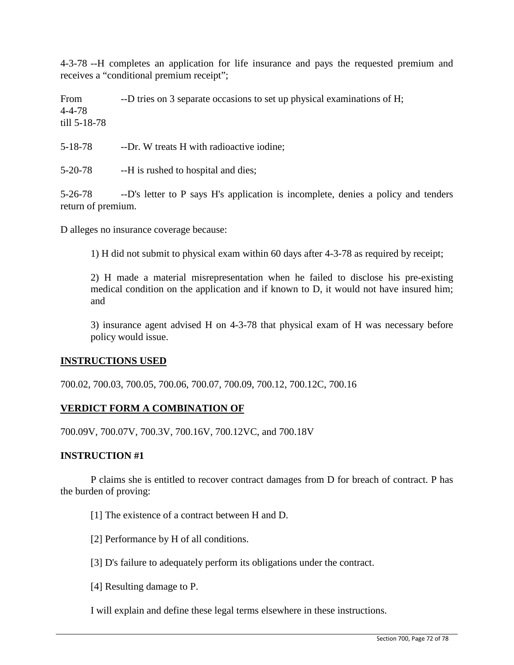4-3-78 --H completes an application for life insurance and pays the requested premium and receives a "conditional premium receipt";

From  $-$ -D tries on 3 separate occasions to set up physical examinations of H; 4-4-78 till 5-18-78

5-18-78 --Dr. W treats H with radioactive iodine;

5-20-78 --H is rushed to hospital and dies;

5-26-78 --D's letter to P says H's application is incomplete, denies a policy and tenders return of premium.

D alleges no insurance coverage because:

1) H did not submit to physical exam within 60 days after 4-3-78 as required by receipt;

2) H made a material misrepresentation when he failed to disclose his pre-existing medical condition on the application and if known to D, it would not have insured him; and

3) insurance agent advised H on 4-3-78 that physical exam of H was necessary before policy would issue.

#### **INSTRUCTIONS USED**

700.02, 700.03, 700.05, 700.06, 700.07, 700.09, 700.12, 700.12C, 700.16

#### **VERDICT FORM A COMBINATION OF**

700.09V, 700.07V, 700.3V, 700.16V, 700.12VC, and 700.18V

#### **INSTRUCTION #1**

P claims she is entitled to recover contract damages from D for breach of contract. P has the burden of proving:

[1] The existence of a contract between H and D.

[2] Performance by H of all conditions.

[3] D's failure to adequately perform its obligations under the contract.

[4] Resulting damage to P.

I will explain and define these legal terms elsewhere in these instructions.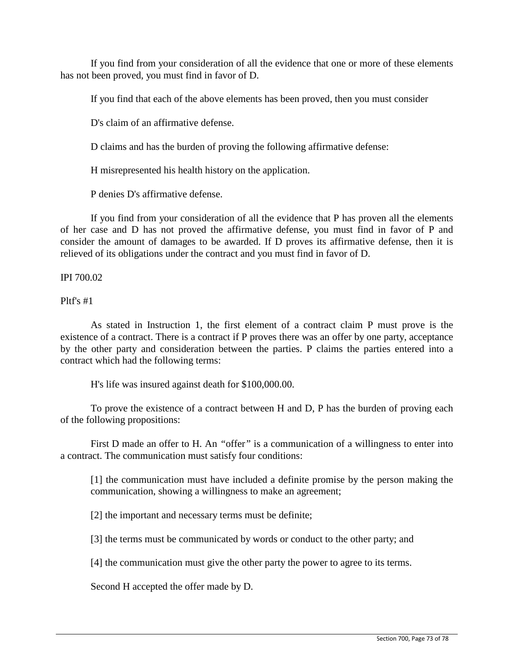If you find from your consideration of all the evidence that one or more of these elements has not been proved, you must find in favor of D.

If you find that each of the above elements has been proved, then you must consider

D's claim of an affirmative defense.

D claims and has the burden of proving the following affirmative defense:

H misrepresented his health history on the application.

P denies D's affirmative defense.

If you find from your consideration of all the evidence that P has proven all the elements of her case and D has not proved the affirmative defense, you must find in favor of P and consider the amount of damages to be awarded. If D proves its affirmative defense, then it is relieved of its obligations under the contract and you must find in favor of D.

IPI 700.02

Pltf's #1

As stated in Instruction 1, the first element of a contract claim P must prove is the existence of a contract. There is a contract if P proves there was an offer by one party, acceptance by the other party and consideration between the parties. P claims the parties entered into a contract which had the following terms:

H's life was insured against death for \$100,000.00.

To prove the existence of a contract between H and D, P has the burden of proving each of the following propositions:

First D made an offer to H. An *"*offer*"* is a communication of a willingness to enter into a contract. The communication must satisfy four conditions:

[1] the communication must have included a definite promise by the person making the communication, showing a willingness to make an agreement;

[2] the important and necessary terms must be definite;

[3] the terms must be communicated by words or conduct to the other party; and

[4] the communication must give the other party the power to agree to its terms.

Second H accepted the offer made by D.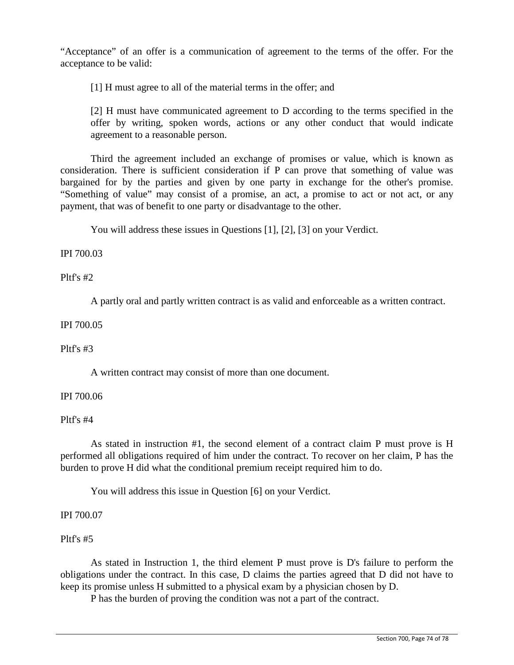"Acceptance" of an offer is a communication of agreement to the terms of the offer. For the acceptance to be valid:

[1] H must agree to all of the material terms in the offer; and

[2] H must have communicated agreement to D according to the terms specified in the offer by writing, spoken words, actions or any other conduct that would indicate agreement to a reasonable person.

Third the agreement included an exchange of promises or value, which is known as consideration. There is sufficient consideration if P can prove that something of value was bargained for by the parties and given by one party in exchange for the other's promise. "Something of value" may consist of a promise, an act, a promise to act or not act, or any payment, that was of benefit to one party or disadvantage to the other.

You will address these issues in Questions [1], [2], [3] on your Verdict.

IPI 700.03

Pltf's #2

A partly oral and partly written contract is as valid and enforceable as a written contract.

IPI 700.05

## Pltf's  $#3$

A written contract may consist of more than one document.

# IPI 700.06

Pltf's #4

As stated in instruction #1, the second element of a contract claim P must prove is H performed all obligations required of him under the contract. To recover on her claim, P has the burden to prove H did what the conditional premium receipt required him to do.

You will address this issue in Question [6] on your Verdict.

IPI 700.07

Pltf's #5

As stated in Instruction 1, the third element P must prove is D's failure to perform the obligations under the contract. In this case, D claims the parties agreed that D did not have to keep its promise unless H submitted to a physical exam by a physician chosen by D.

P has the burden of proving the condition was not a part of the contract.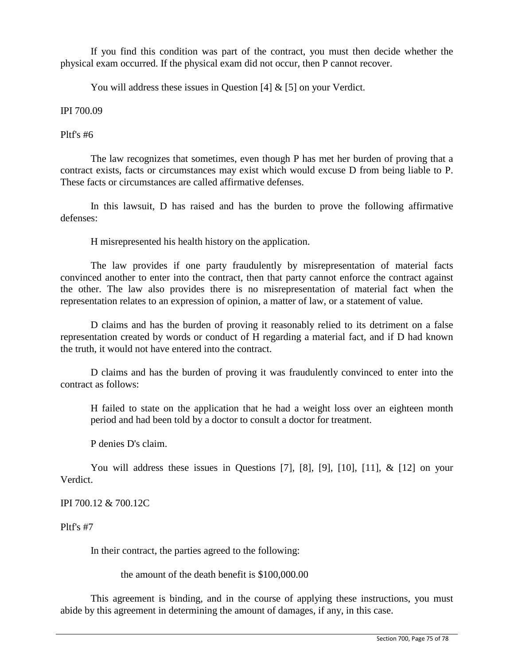If you find this condition was part of the contract, you must then decide whether the physical exam occurred. If the physical exam did not occur, then P cannot recover.

You will address these issues in Question [4] & [5] on your Verdict.

## IPI 700.09

#### Pltf's #6

The law recognizes that sometimes, even though P has met her burden of proving that a contract exists, facts or circumstances may exist which would excuse D from being liable to P. These facts or circumstances are called affirmative defenses.

In this lawsuit, D has raised and has the burden to prove the following affirmative defenses:

H misrepresented his health history on the application.

The law provides if one party fraudulently by misrepresentation of material facts convinced another to enter into the contract, then that party cannot enforce the contract against the other. The law also provides there is no misrepresentation of material fact when the representation relates to an expression of opinion, a matter of law, or a statement of value.

D claims and has the burden of proving it reasonably relied to its detriment on a false representation created by words or conduct of H regarding a material fact, and if D had known the truth, it would not have entered into the contract.

D claims and has the burden of proving it was fraudulently convinced to enter into the contract as follows:

H failed to state on the application that he had a weight loss over an eighteen month period and had been told by a doctor to consult a doctor for treatment.

P denies D's claim.

You will address these issues in Questions [7], [8], [9], [10], [11], & [12] on your Verdict.

IPI 700.12 & 700.12C

Pltf's #7

In their contract, the parties agreed to the following:

the amount of the death benefit is \$100,000.00

This agreement is binding, and in the course of applying these instructions, you must abide by this agreement in determining the amount of damages, if any, in this case.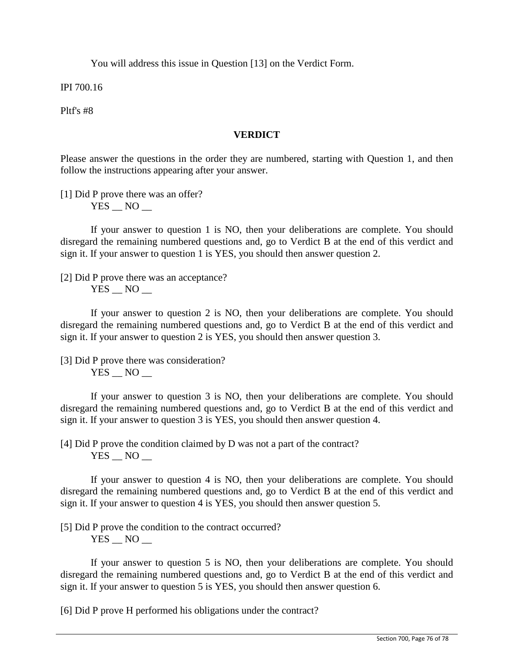You will address this issue in Question [13] on the Verdict Form.

IPI 700.16

Pltf's #8

## **VERDICT**

Please answer the questions in the order they are numbered, starting with Question 1, and then follow the instructions appearing after your answer.

[1] Did P prove there was an offer?  $YES$   $NO$   $-$ 

If your answer to question 1 is NO, then your deliberations are complete. You should disregard the remaining numbered questions and, go to Verdict B at the end of this verdict and sign it. If your answer to question 1 is YES, you should then answer question 2.

[2] Did P prove there was an acceptance?  $YES$   $NO$   $-$ 

If your answer to question 2 is NO, then your deliberations are complete. You should disregard the remaining numbered questions and, go to Verdict B at the end of this verdict and sign it. If your answer to question 2 is YES, you should then answer question 3.

[3] Did P prove there was consideration?  $YES$   $NO$   $-$ 

If your answer to question 3 is NO, then your deliberations are complete. You should disregard the remaining numbered questions and, go to Verdict B at the end of this verdict and sign it. If your answer to question 3 is YES, you should then answer question 4.

[4] Did P prove the condition claimed by D was not a part of the contract? YES NO

If your answer to question 4 is NO, then your deliberations are complete. You should disregard the remaining numbered questions and, go to Verdict B at the end of this verdict and sign it. If your answer to question 4 is YES, you should then answer question 5.

[5] Did P prove the condition to the contract occurred?

 $YES$   $NO$   $-$ 

If your answer to question 5 is NO, then your deliberations are complete. You should disregard the remaining numbered questions and, go to Verdict B at the end of this verdict and sign it. If your answer to question 5 is YES, you should then answer question 6.

[6] Did P prove H performed his obligations under the contract?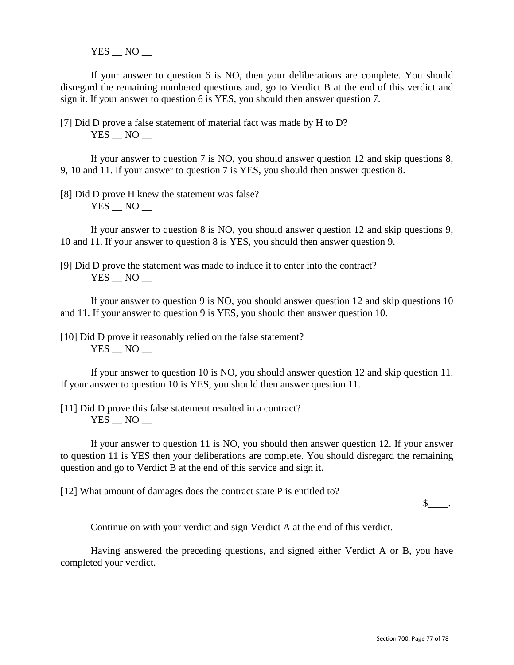YES NO

If your answer to question 6 is NO, then your deliberations are complete. You should disregard the remaining numbered questions and, go to Verdict B at the end of this verdict and sign it. If your answer to question 6 is YES, you should then answer question 7.

[7] Did D prove a false statement of material fact was made by H to D? YES NO

If your answer to question 7 is NO, you should answer question 12 and skip questions 8, 9, 10 and 11. If your answer to question 7 is YES, you should then answer question 8.

[8] Did D prove H knew the statement was false?  $YES$   $NO$   $-$ 

If your answer to question 8 is NO, you should answer question 12 and skip questions 9, 10 and 11. If your answer to question 8 is YES, you should then answer question 9.

[9] Did D prove the statement was made to induce it to enter into the contract? YES NO

If your answer to question 9 is NO, you should answer question 12 and skip questions 10 and 11. If your answer to question 9 is YES, you should then answer question 10.

[10] Did D prove it reasonably relied on the false statement?  $YES$   $NO$   $-$ 

If your answer to question 10 is NO, you should answer question 12 and skip question 11. If your answer to question 10 is YES, you should then answer question 11.

[11] Did D prove this false statement resulted in a contract?  $YES$   $NO$   $-$ 

If your answer to question 11 is NO, you should then answer question 12. If your answer to question 11 is YES then your deliberations are complete. You should disregard the remaining question and go to Verdict B at the end of this service and sign it.

[12] What amount of damages does the contract state P is entitled to?

 $\mathbb{S}$  .

Continue on with your verdict and sign Verdict A at the end of this verdict.

Having answered the preceding questions, and signed either Verdict A or B, you have completed your verdict.